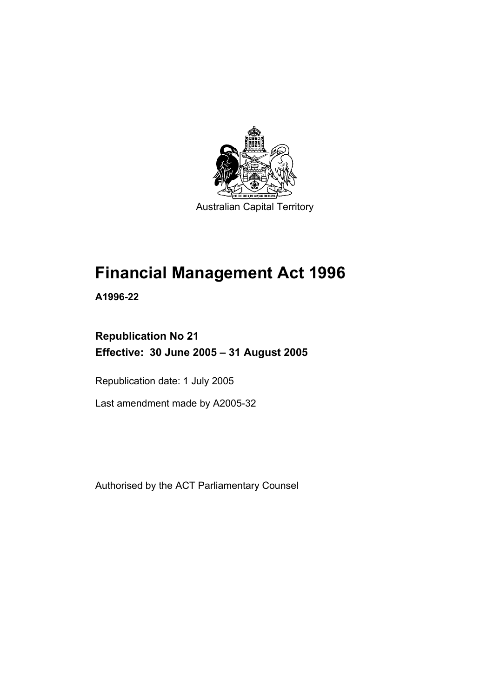

Australian Capital Territory

# **Financial Management Act 1996**

**A1996-22** 

### **Republication No 21 Effective: 30 June 2005 – 31 August 2005**

Republication date: 1 July 2005

Last amendment made by A2005-32

Authorised by the ACT Parliamentary Counsel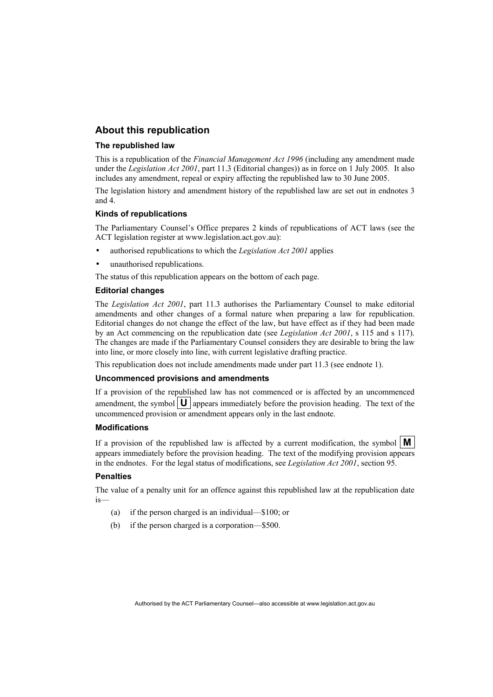#### **About this republication**

#### **The republished law**

This is a republication of the *Financial Management Act 1996* (including any amendment made under the *Legislation Act 2001*, part 11.3 (Editorial changes)) as in force on 1 July 2005*.* It also includes any amendment, repeal or expiry affecting the republished law to 30 June 2005.

The legislation history and amendment history of the republished law are set out in endnotes 3 and 4.

#### **Kinds of republications**

The Parliamentary Counsel's Office prepares 2 kinds of republications of ACT laws (see the ACT legislation register at www.legislation.act.gov.au):

- authorised republications to which the *Legislation Act 2001* applies
- unauthorised republications.

The status of this republication appears on the bottom of each page.

#### **Editorial changes**

The *Legislation Act 2001*, part 11.3 authorises the Parliamentary Counsel to make editorial amendments and other changes of a formal nature when preparing a law for republication. Editorial changes do not change the effect of the law, but have effect as if they had been made by an Act commencing on the republication date (see *Legislation Act 2001*, s 115 and s 117). The changes are made if the Parliamentary Counsel considers they are desirable to bring the law into line, or more closely into line, with current legislative drafting practice.

This republication does not include amendments made under part 11.3 (see endnote 1).

#### **Uncommenced provisions and amendments**

If a provision of the republished law has not commenced or is affected by an uncommenced amendment, the symbol  $\mathbf{U}$  appears immediately before the provision heading. The text of the uncommenced provision or amendment appears only in the last endnote.

#### **Modifications**

If a provision of the republished law is affected by a current modification, the symbol  $\mathbf{M}$ appears immediately before the provision heading. The text of the modifying provision appears in the endnotes. For the legal status of modifications, see *Legislation Act 2001*, section 95.

#### **Penalties**

The value of a penalty unit for an offence against this republished law at the republication date is—

- (a) if the person charged is an individual—\$100; or
- (b) if the person charged is a corporation—\$500.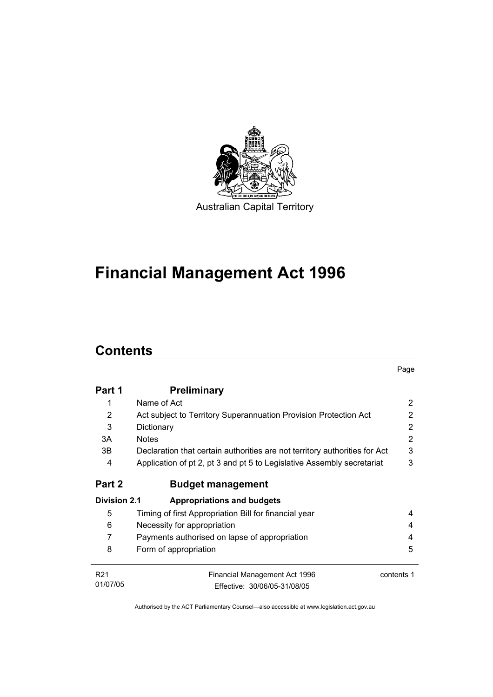

# **Financial Management Act 1996**

# **Contents**

|                     |                                                                            | Page       |
|---------------------|----------------------------------------------------------------------------|------------|
| Part 1              | <b>Preliminary</b>                                                         |            |
| 1                   | Name of Act                                                                | 2          |
| 2                   | Act subject to Territory Superannuation Provision Protection Act           | 2          |
| 3                   | Dictionary                                                                 | 2          |
| 3A                  | <b>Notes</b>                                                               | 2          |
| 3B                  | Declaration that certain authorities are not territory authorities for Act | 3          |
| 4                   | Application of pt 2, pt 3 and pt 5 to Legislative Assembly secretariat     | 3          |
| Part 2              | <b>Budget management</b>                                                   |            |
| <b>Division 2.1</b> | <b>Appropriations and budgets</b>                                          |            |
| 5                   | Timing of first Appropriation Bill for financial year                      | 4          |
| 6                   | Necessity for appropriation                                                | 4          |
| 7                   | Payments authorised on lapse of appropriation                              | 4          |
| 8                   | Form of appropriation                                                      | 5          |
| R <sub>21</sub>     | Financial Management Act 1996                                              | contents 1 |
| 01/07/05            | Effective: 30/06/05-31/08/05                                               |            |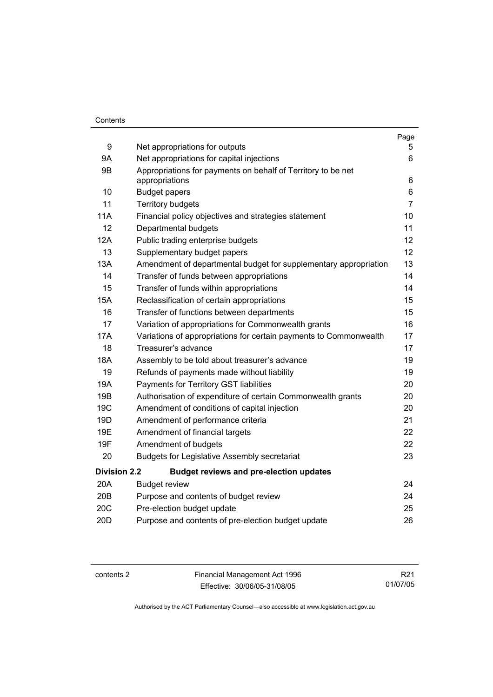#### **Contents**

|                     |                                                                                | Page           |
|---------------------|--------------------------------------------------------------------------------|----------------|
| 9                   | Net appropriations for outputs                                                 | 5.             |
| <b>9A</b>           | Net appropriations for capital injections                                      | 6              |
| 9B                  | Appropriations for payments on behalf of Territory to be net<br>appropriations | 6              |
| 10                  | <b>Budget papers</b>                                                           | 6              |
| 11                  | <b>Territory budgets</b>                                                       | $\overline{7}$ |
| <b>11A</b>          | Financial policy objectives and strategies statement                           | 10             |
| 12                  | Departmental budgets                                                           | 11             |
| 12A                 | Public trading enterprise budgets                                              | 12             |
| 13                  | Supplementary budget papers                                                    | 12             |
| 13A                 | Amendment of departmental budget for supplementary appropriation               | 13             |
| 14                  | Transfer of funds between appropriations                                       | 14             |
| 15                  | Transfer of funds within appropriations                                        | 14             |
| <b>15A</b>          | Reclassification of certain appropriations                                     | 15             |
| 16                  | Transfer of functions between departments                                      | 15             |
| 17                  | Variation of appropriations for Commonwealth grants                            | 16             |
| <b>17A</b>          | Variations of appropriations for certain payments to Commonwealth              | 17             |
| 18                  | Treasurer's advance                                                            | 17             |
| 18A                 | Assembly to be told about treasurer's advance                                  | 19             |
| 19                  | Refunds of payments made without liability                                     | 19             |
| 19A                 | Payments for Territory GST liabilities                                         | 20             |
| 19B                 | Authorisation of expenditure of certain Commonwealth grants                    | 20             |
| 19 <sub>C</sub>     | Amendment of conditions of capital injection                                   | 20             |
| 19D                 | Amendment of performance criteria                                              | 21             |
| 19E                 | Amendment of financial targets                                                 | 22             |
| 19F                 | Amendment of budgets                                                           | 22             |
| 20                  | <b>Budgets for Legislative Assembly secretariat</b>                            | 23             |
| <b>Division 2.2</b> | <b>Budget reviews and pre-election updates</b>                                 |                |
| 20A                 | <b>Budget review</b>                                                           | 24             |
| 20B                 | Purpose and contents of budget review                                          | 24             |
| 20C                 | Pre-election budget update                                                     | 25             |
| 20 <sub>D</sub>     | Purpose and contents of pre-election budget update                             | 26             |

contents 2 Financial Management Act 1996 Effective: 30/06/05-31/08/05

R21 01/07/05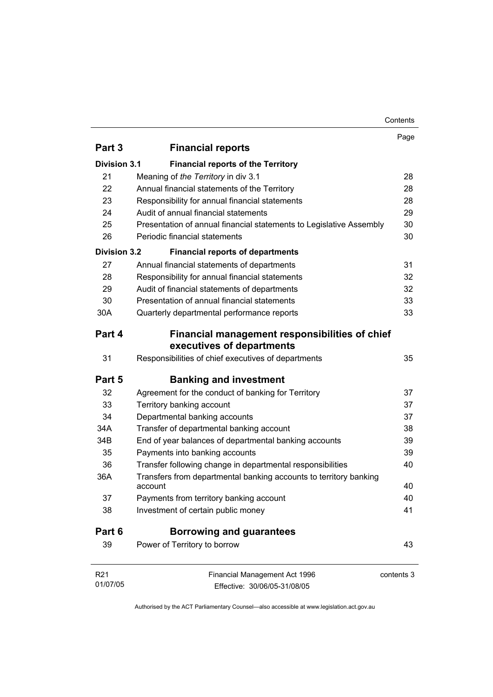#### Contents

|                     |                                                                              | Page       |
|---------------------|------------------------------------------------------------------------------|------------|
| Part 3              | <b>Financial reports</b>                                                     |            |
| <b>Division 3.1</b> | <b>Financial reports of the Territory</b>                                    |            |
| 21                  | Meaning of the Territory in div 3.1                                          | 28         |
| 22                  | Annual financial statements of the Territory                                 | 28         |
| 23                  | Responsibility for annual financial statements                               | 28         |
| 24                  | Audit of annual financial statements                                         | 29         |
| 25                  | Presentation of annual financial statements to Legislative Assembly          | 30         |
| 26                  | Periodic financial statements                                                | 30         |
| <b>Division 3.2</b> | <b>Financial reports of departments</b>                                      |            |
| 27                  | Annual financial statements of departments                                   | 31         |
| 28                  | Responsibility for annual financial statements                               | 32         |
| 29                  | Audit of financial statements of departments                                 | 32         |
| 30                  | Presentation of annual financial statements                                  | 33         |
| 30A                 | Quarterly departmental performance reports                                   | 33         |
| Part 4              | Financial management responsibilities of chief<br>executives of departments  |            |
| 31                  | Responsibilities of chief executives of departments                          | 35         |
| Part 5              | <b>Banking and investment</b>                                                |            |
| 32                  | Agreement for the conduct of banking for Territory                           | 37         |
| 33                  | Territory banking account                                                    | 37         |
| 34                  | Departmental banking accounts                                                | 37         |
| 34A                 | Transfer of departmental banking account                                     | 38         |
| 34B                 | End of year balances of departmental banking accounts                        | 39         |
| 35                  | Payments into banking accounts                                               | 39         |
| 36                  | Transfer following change in departmental responsibilities                   | 40         |
| 36A                 | Transfers from departmental banking accounts to territory banking<br>account | 40         |
| 37                  | Payments from territory banking account                                      | 40         |
| 38                  | Investment of certain public money                                           | 41         |
| Part 6              | <b>Borrowing and guarantees</b>                                              |            |
| 39                  | Power of Territory to borrow                                                 | 43         |
|                     |                                                                              |            |
| R <sub>21</sub>     | Financial Management Act 1996                                                | contents 3 |
| 01/07/05            |                                                                              |            |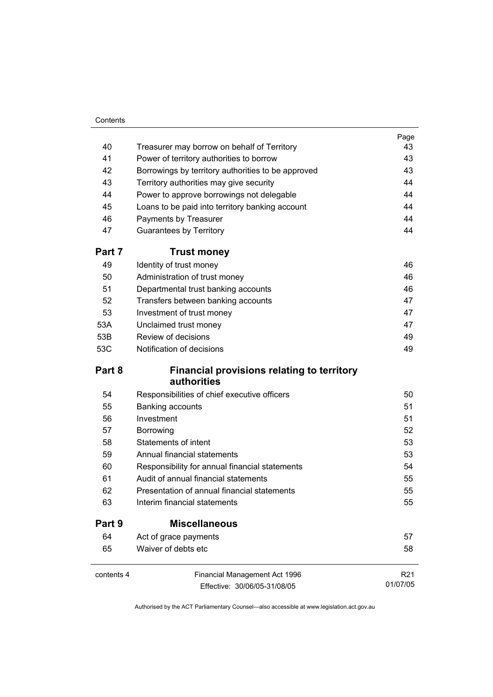#### **Contents**

|            |                                                                                               | Page            |
|------------|-----------------------------------------------------------------------------------------------|-----------------|
| 40         | Treasurer may borrow on behalf of Territory                                                   | 43              |
| 41         | Power of territory authorities to borrow                                                      | 43              |
| 42         | Borrowings by territory authorities to be approved<br>Territory authorities may give security | 43<br>44        |
| 43         |                                                                                               |                 |
| 44         | Power to approve borrowings not delegable                                                     | 44              |
| 45         | Loans to be paid into territory banking account                                               | 44              |
| 46         | Payments by Treasurer                                                                         | 44              |
| 47         | <b>Guarantees by Territory</b>                                                                | 44              |
| Part 7     | <b>Trust money</b>                                                                            |                 |
| 49         | Identity of trust money                                                                       | 46              |
| 50         | Administration of trust money                                                                 | 46              |
| 51         | Departmental trust banking accounts                                                           | 46              |
| 52         | Transfers between banking accounts                                                            | 47              |
| 53         | Investment of trust money                                                                     | 47              |
| 53A        | Unclaimed trust money                                                                         | 47              |
| 53B        | Review of decisions                                                                           | 49              |
| 53C        | Notification of decisions                                                                     | 49              |
| Part 8     | <b>Financial provisions relating to territory</b><br>authorities                              |                 |
| 54         | Responsibilities of chief executive officers                                                  | 50              |
| 55         | Banking accounts                                                                              | 51              |
| 56         | Investment                                                                                    | 51              |
| 57         | Borrowing                                                                                     | 52              |
| 58         | <b>Statements of intent</b>                                                                   | 53              |
| 59         | Annual financial statements                                                                   | 53              |
| 60         | Responsibility for annual financial statements                                                | 54              |
| 61         | Audit of annual financial statements                                                          | 55              |
| 62         | Presentation of annual financial statements                                                   | 55              |
| 63         | Interim financial statements                                                                  | 55              |
| Part 9     | <b>Miscellaneous</b>                                                                          |                 |
| 64         | Act of grace payments                                                                         | 57              |
| 65         | Waiver of debts etc                                                                           | 58              |
| contents 4 | Financial Management Act 1996                                                                 | R <sub>21</sub> |
|            | Effective: 30/06/05-31/08/05                                                                  | 01/07/05        |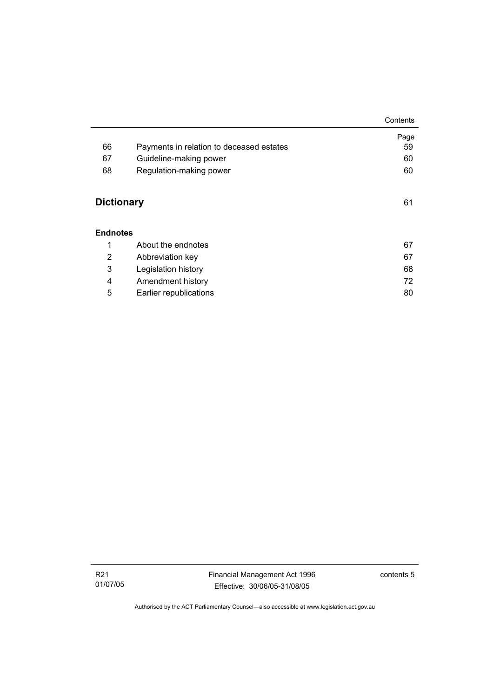|                                      |                                          | Contents   |
|--------------------------------------|------------------------------------------|------------|
| 66                                   | Payments in relation to deceased estates | Page<br>59 |
| 67                                   | Guideline-making power                   | 60         |
|                                      |                                          |            |
| 68                                   | Regulation-making power                  | 60         |
| <b>Dictionary</b><br><b>Endnotes</b> |                                          | 61         |
| 1                                    | About the endnotes                       | 67         |
| 2                                    | Abbreviation key                         | 67         |
| 3                                    | Legislation history                      | 68         |
| 4                                    | Amendment history                        | 72         |
| 5                                    | Earlier republications                   | 80         |

 $\overline{a}$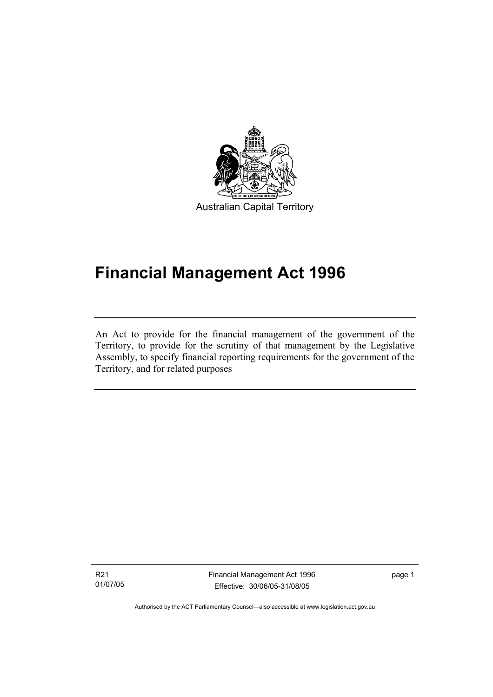

Australian Capital Territory

# **Financial Management Act 1996**

An Act to provide for the financial management of the government of the Territory, to provide for the scrutiny of that management by the Legislative Assembly, to specify financial reporting requirements for the government of the Territory, and for related purposes

R21 01/07/05

I

Financial Management Act 1996 Effective: 30/06/05-31/08/05

page 1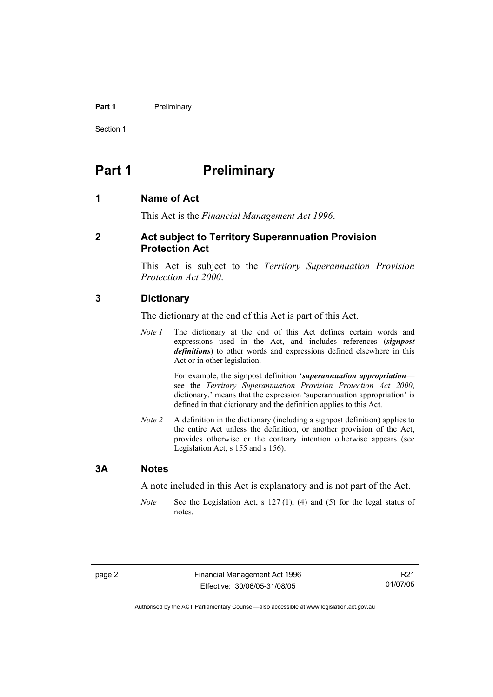#### **Part 1** Preliminary

Section 1

### **Part 1** Preliminary

#### **1 Name of Act**

This Act is the *Financial Management Act 1996*.

#### **2 Act subject to Territory Superannuation Provision Protection Act**

This Act is subject to the *Territory Superannuation Provision Protection Act 2000*.

#### **3 Dictionary**

The dictionary at the end of this Act is part of this Act.

*Note 1* The dictionary at the end of this Act defines certain words and expressions used in the Act, and includes references (*signpost definitions*) to other words and expressions defined elsewhere in this Act or in other legislation.

> For example, the signpost definition '*superannuation appropriation* see the *Territory Superannuation Provision Protection Act 2000*, dictionary.' means that the expression 'superannuation appropriation' is defined in that dictionary and the definition applies to this Act.

*Note 2* A definition in the dictionary (including a signpost definition) applies to the entire Act unless the definition, or another provision of the Act, provides otherwise or the contrary intention otherwise appears (see Legislation Act, s 155 and s 156).

#### **3A Notes**

A note included in this Act is explanatory and is not part of the Act.

*Note* See the Legislation Act, s 127 (1), (4) and (5) for the legal status of notes.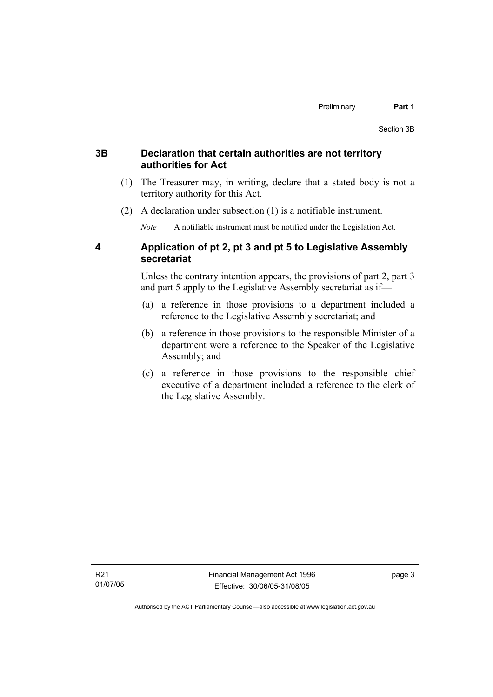#### **3B Declaration that certain authorities are not territory authorities for Act**

- (1) The Treasurer may, in writing, declare that a stated body is not a territory authority for this Act.
- (2) A declaration under subsection (1) is a notifiable instrument.

*Note* A notifiable instrument must be notified under the Legislation Act.

#### **4 Application of pt 2, pt 3 and pt 5 to Legislative Assembly secretariat**

Unless the contrary intention appears, the provisions of part 2, part 3 and part 5 apply to the Legislative Assembly secretariat as if—

- (a) a reference in those provisions to a department included a reference to the Legislative Assembly secretariat; and
- (b) a reference in those provisions to the responsible Minister of a department were a reference to the Speaker of the Legislative Assembly; and
- (c) a reference in those provisions to the responsible chief executive of a department included a reference to the clerk of the Legislative Assembly.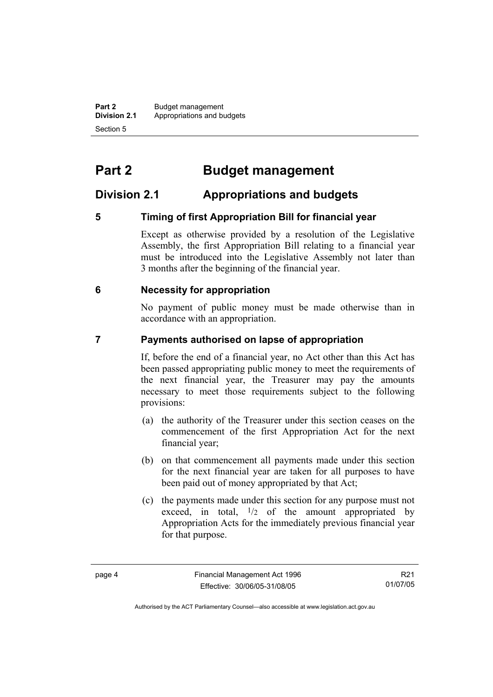**Part 2** Budget management<br>**Division 2.1** Appropriations and by **Division 2.1** Appropriations and budgets Section 5

# **Part 2 Budget management**

#### **Division 2.1 Appropriations and budgets**

#### **5 Timing of first Appropriation Bill for financial year**

Except as otherwise provided by a resolution of the Legislative Assembly, the first Appropriation Bill relating to a financial year must be introduced into the Legislative Assembly not later than 3 months after the beginning of the financial year.

#### **6 Necessity for appropriation**

No payment of public money must be made otherwise than in accordance with an appropriation.

#### **7 Payments authorised on lapse of appropriation**

If, before the end of a financial year, no Act other than this Act has been passed appropriating public money to meet the requirements of the next financial year, the Treasurer may pay the amounts necessary to meet those requirements subject to the following provisions:

- (a) the authority of the Treasurer under this section ceases on the commencement of the first Appropriation Act for the next financial year;
- (b) on that commencement all payments made under this section for the next financial year are taken for all purposes to have been paid out of money appropriated by that Act;
- (c) the payments made under this section for any purpose must not exceed, in total,  $\frac{1}{2}$  of the amount appropriated by Appropriation Acts for the immediately previous financial year for that purpose.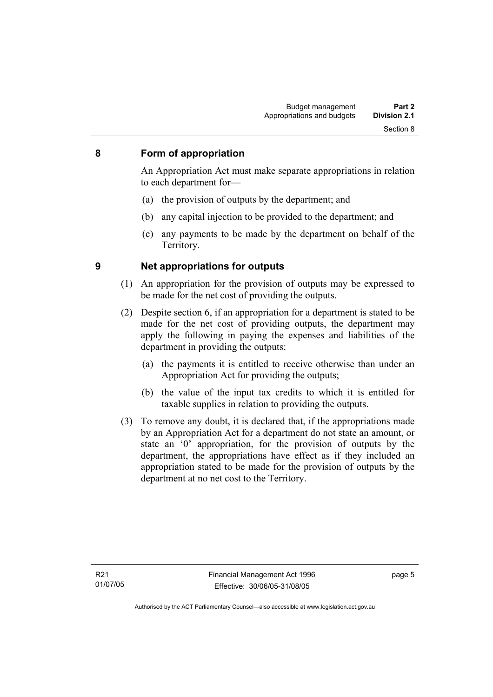#### **8 Form of appropriation**

An Appropriation Act must make separate appropriations in relation to each department for—

- (a) the provision of outputs by the department; and
- (b) any capital injection to be provided to the department; and
- (c) any payments to be made by the department on behalf of the Territory.

- **9 Net appropriations for outputs** 
	- (1) An appropriation for the provision of outputs may be expressed to be made for the net cost of providing the outputs.
	- (2) Despite section 6, if an appropriation for a department is stated to be made for the net cost of providing outputs, the department may apply the following in paying the expenses and liabilities of the department in providing the outputs:
		- (a) the payments it is entitled to receive otherwise than under an Appropriation Act for providing the outputs;
		- (b) the value of the input tax credits to which it is entitled for taxable supplies in relation to providing the outputs.
	- (3) To remove any doubt, it is declared that, if the appropriations made by an Appropriation Act for a department do not state an amount, or state an '0' appropriation, for the provision of outputs by the department, the appropriations have effect as if they included an appropriation stated to be made for the provision of outputs by the department at no net cost to the Territory.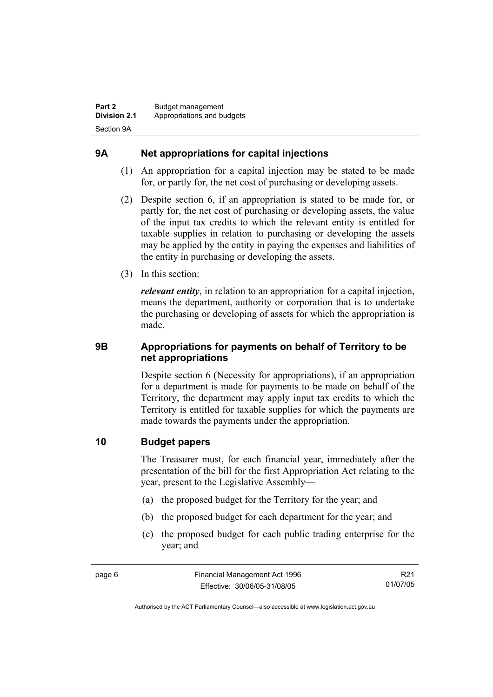#### **9A Net appropriations for capital injections**

- (1) An appropriation for a capital injection may be stated to be made for, or partly for, the net cost of purchasing or developing assets.
- (2) Despite section 6, if an appropriation is stated to be made for, or partly for, the net cost of purchasing or developing assets, the value of the input tax credits to which the relevant entity is entitled for taxable supplies in relation to purchasing or developing the assets may be applied by the entity in paying the expenses and liabilities of the entity in purchasing or developing the assets.
- (3) In this section:

*relevant entity*, in relation to an appropriation for a capital injection, means the department, authority or corporation that is to undertake the purchasing or developing of assets for which the appropriation is made.

#### **9B Appropriations for payments on behalf of Territory to be net appropriations**

Despite section 6 (Necessity for appropriations), if an appropriation for a department is made for payments to be made on behalf of the Territory, the department may apply input tax credits to which the Territory is entitled for taxable supplies for which the payments are made towards the payments under the appropriation.

#### **10 Budget papers**

The Treasurer must, for each financial year, immediately after the presentation of the bill for the first Appropriation Act relating to the year, present to the Legislative Assembly—

- (a) the proposed budget for the Territory for the year; and
- (b) the proposed budget for each department for the year; and
- (c) the proposed budget for each public trading enterprise for the year; and

R21 01/07/05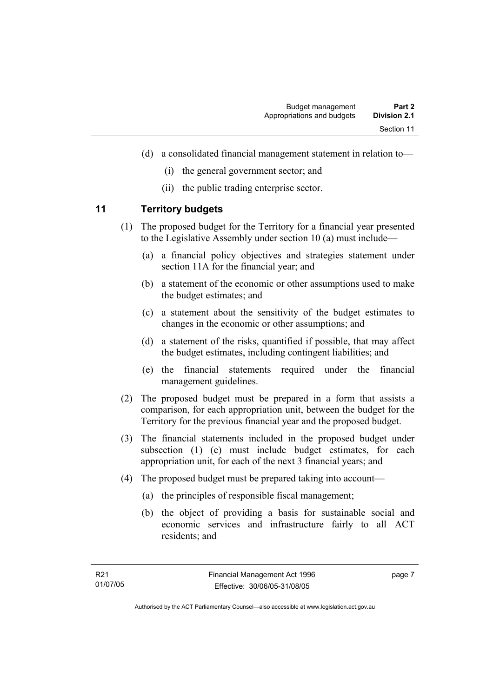- (d) a consolidated financial management statement in relation to—
	- (i) the general government sector; and
	- (ii) the public trading enterprise sector.

#### **11 Territory budgets**

- (1) The proposed budget for the Territory for a financial year presented to the Legislative Assembly under section 10 (a) must include—
	- (a) a financial policy objectives and strategies statement under section 11A for the financial year; and
	- (b) a statement of the economic or other assumptions used to make the budget estimates; and
	- (c) a statement about the sensitivity of the budget estimates to changes in the economic or other assumptions; and
	- (d) a statement of the risks, quantified if possible, that may affect the budget estimates, including contingent liabilities; and
	- (e) the financial statements required under the financial management guidelines.
- (2) The proposed budget must be prepared in a form that assists a comparison, for each appropriation unit, between the budget for the Territory for the previous financial year and the proposed budget.
- (3) The financial statements included in the proposed budget under subsection (1) (e) must include budget estimates, for each appropriation unit, for each of the next 3 financial years; and
- (4) The proposed budget must be prepared taking into account—
	- (a) the principles of responsible fiscal management;
	- (b) the object of providing a basis for sustainable social and economic services and infrastructure fairly to all ACT residents; and

page 7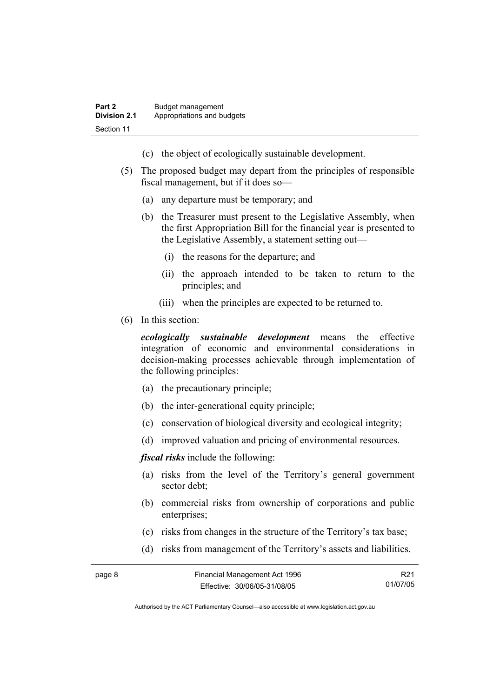- (c) the object of ecologically sustainable development.
- (5) The proposed budget may depart from the principles of responsible fiscal management, but if it does so—
	- (a) any departure must be temporary; and
	- (b) the Treasurer must present to the Legislative Assembly, when the first Appropriation Bill for the financial year is presented to the Legislative Assembly, a statement setting out—
		- (i) the reasons for the departure; and
		- (ii) the approach intended to be taken to return to the principles; and
		- (iii) when the principles are expected to be returned to.
- (6) In this section:

*ecologically sustainable development* means the effective integration of economic and environmental considerations in decision-making processes achievable through implementation of the following principles:

- (a) the precautionary principle;
- (b) the inter-generational equity principle;
- (c) conservation of biological diversity and ecological integrity;
- (d) improved valuation and pricing of environmental resources.

*fiscal risks* include the following:

- (a) risks from the level of the Territory's general government sector debt;
- (b) commercial risks from ownership of corporations and public enterprises:
- (c) risks from changes in the structure of the Territory's tax base;
- (d) risks from management of the Territory's assets and liabilities.

| page 8 | Financial Management Act 1996 | R21      |
|--------|-------------------------------|----------|
|        | Effective: 30/06/05-31/08/05  | 01/07/05 |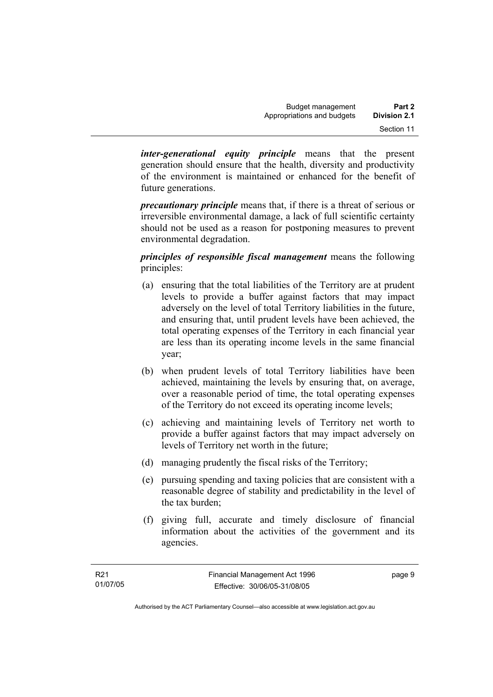*inter-generational equity principle* means that the present generation should ensure that the health, diversity and productivity of the environment is maintained or enhanced for the benefit of future generations.

*precautionary principle* means that, if there is a threat of serious or irreversible environmental damage, a lack of full scientific certainty should not be used as a reason for postponing measures to prevent environmental degradation.

*principles of responsible fiscal management* means the following principles:

- (a) ensuring that the total liabilities of the Territory are at prudent levels to provide a buffer against factors that may impact adversely on the level of total Territory liabilities in the future, and ensuring that, until prudent levels have been achieved, the total operating expenses of the Territory in each financial year are less than its operating income levels in the same financial year;
- (b) when prudent levels of total Territory liabilities have been achieved, maintaining the levels by ensuring that, on average, over a reasonable period of time, the total operating expenses of the Territory do not exceed its operating income levels;
- (c) achieving and maintaining levels of Territory net worth to provide a buffer against factors that may impact adversely on levels of Territory net worth in the future;
- (d) managing prudently the fiscal risks of the Territory;
- (e) pursuing spending and taxing policies that are consistent with a reasonable degree of stability and predictability in the level of the tax burden;
- (f) giving full, accurate and timely disclosure of financial information about the activities of the government and its agencies.

page 9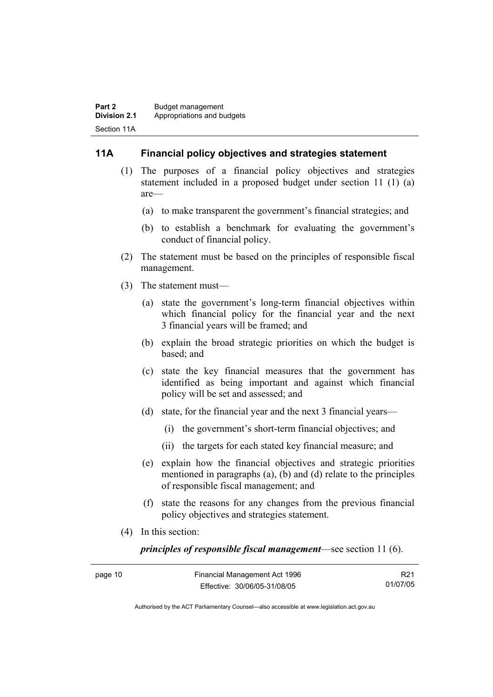#### **11A Financial policy objectives and strategies statement**

- (1) The purposes of a financial policy objectives and strategies statement included in a proposed budget under section 11 (1) (a) are—
	- (a) to make transparent the government's financial strategies; and
	- (b) to establish a benchmark for evaluating the government's conduct of financial policy.
- (2) The statement must be based on the principles of responsible fiscal management.
- (3) The statement must—
	- (a) state the government's long-term financial objectives within which financial policy for the financial year and the next 3 financial years will be framed; and
	- (b) explain the broad strategic priorities on which the budget is based; and
	- (c) state the key financial measures that the government has identified as being important and against which financial policy will be set and assessed; and
	- (d) state, for the financial year and the next 3 financial years—
		- (i) the government's short-term financial objectives; and
		- (ii) the targets for each stated key financial measure; and
	- (e) explain how the financial objectives and strategic priorities mentioned in paragraphs (a), (b) and (d) relate to the principles of responsible fiscal management; and
	- (f) state the reasons for any changes from the previous financial policy objectives and strategies statement.
- (4) In this section:

*principles of responsible fiscal management*—see section 11 (6).

| page 10 | Financial Management Act 1996 | R <sub>21</sub> |
|---------|-------------------------------|-----------------|
|         | Effective: 30/06/05-31/08/05  | 01/07/05        |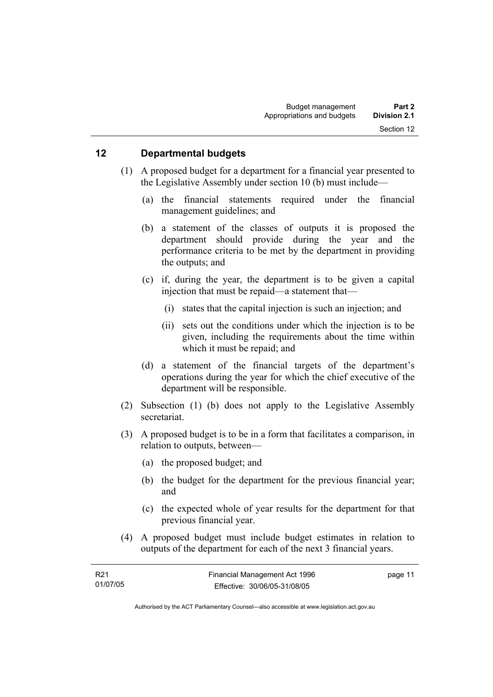#### **12 Departmental budgets**

- (1) A proposed budget for a department for a financial year presented to the Legislative Assembly under section 10 (b) must include—
	- (a) the financial statements required under the financial management guidelines; and
	- (b) a statement of the classes of outputs it is proposed the department should provide during the year and the performance criteria to be met by the department in providing the outputs; and
	- (c) if, during the year, the department is to be given a capital injection that must be repaid—a statement that—
		- (i) states that the capital injection is such an injection; and
		- (ii) sets out the conditions under which the injection is to be given, including the requirements about the time within which it must be repaid; and
	- (d) a statement of the financial targets of the department's operations during the year for which the chief executive of the department will be responsible.
- (2) Subsection (1) (b) does not apply to the Legislative Assembly secretariat.
- (3) A proposed budget is to be in a form that facilitates a comparison, in relation to outputs, between—
	- (a) the proposed budget; and
	- (b) the budget for the department for the previous financial year; and
	- (c) the expected whole of year results for the department for that previous financial year.
- (4) A proposed budget must include budget estimates in relation to outputs of the department for each of the next 3 financial years.

| R21      | Financial Management Act 1996 | page 11 |
|----------|-------------------------------|---------|
| 01/07/05 | Effective: 30/06/05-31/08/05  |         |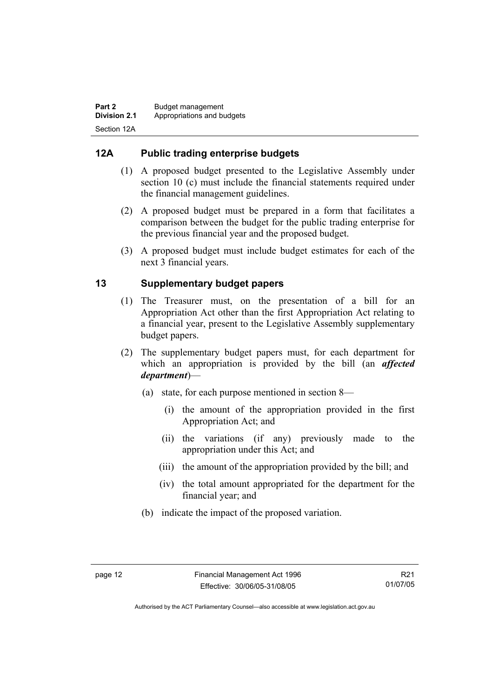#### **12A Public trading enterprise budgets**

- (1) A proposed budget presented to the Legislative Assembly under section 10 (c) must include the financial statements required under the financial management guidelines.
- (2) A proposed budget must be prepared in a form that facilitates a comparison between the budget for the public trading enterprise for the previous financial year and the proposed budget.
- (3) A proposed budget must include budget estimates for each of the next 3 financial years.

#### **13 Supplementary budget papers**

- (1) The Treasurer must, on the presentation of a bill for an Appropriation Act other than the first Appropriation Act relating to a financial year, present to the Legislative Assembly supplementary budget papers.
- (2) The supplementary budget papers must, for each department for which an appropriation is provided by the bill (an *affected department*)—
	- (a) state, for each purpose mentioned in section 8—
		- (i) the amount of the appropriation provided in the first Appropriation Act; and
		- (ii) the variations (if any) previously made to the appropriation under this Act; and
		- (iii) the amount of the appropriation provided by the bill; and
		- (iv) the total amount appropriated for the department for the financial year; and
	- (b) indicate the impact of the proposed variation.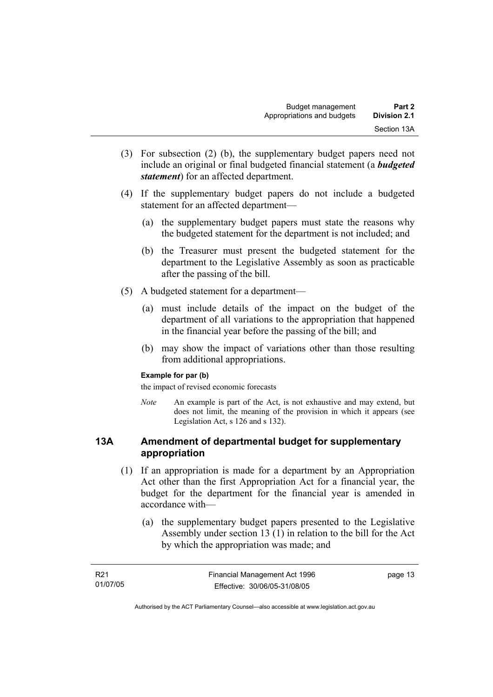- (3) For subsection (2) (b), the supplementary budget papers need not include an original or final budgeted financial statement (a *budgeted statement*) for an affected department.
- (4) If the supplementary budget papers do not include a budgeted statement for an affected department—
	- (a) the supplementary budget papers must state the reasons why the budgeted statement for the department is not included; and
	- (b) the Treasurer must present the budgeted statement for the department to the Legislative Assembly as soon as practicable after the passing of the bill.
- (5) A budgeted statement for a department—
	- (a) must include details of the impact on the budget of the department of all variations to the appropriation that happened in the financial year before the passing of the bill; and
	- (b) may show the impact of variations other than those resulting from additional appropriations.

#### **Example for par (b)**

the impact of revised economic forecasts

*Note* An example is part of the Act, is not exhaustive and may extend, but does not limit, the meaning of the provision in which it appears (see Legislation Act, s 126 and s 132).

#### **13A Amendment of departmental budget for supplementary appropriation**

- (1) If an appropriation is made for a department by an Appropriation Act other than the first Appropriation Act for a financial year, the budget for the department for the financial year is amended in accordance with—
	- (a) the supplementary budget papers presented to the Legislative Assembly under section 13 (1) in relation to the bill for the Act by which the appropriation was made; and

| R21      | Financial Management Act 1996 | page 13 |
|----------|-------------------------------|---------|
| 01/07/05 | Effective: 30/06/05-31/08/05  |         |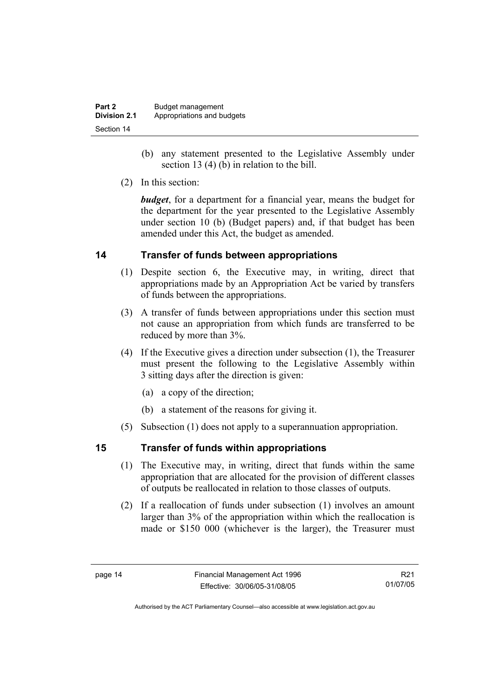| Part 2              | Budget management          |
|---------------------|----------------------------|
| <b>Division 2.1</b> | Appropriations and budgets |
| Section 14          |                            |

- (b) any statement presented to the Legislative Assembly under section 13 (4) (b) in relation to the bill.
- (2) In this section:

*budget*, for a department for a financial year, means the budget for the department for the year presented to the Legislative Assembly under section 10 (b) (Budget papers) and, if that budget has been amended under this Act, the budget as amended.

#### **14 Transfer of funds between appropriations**

- (1) Despite section 6, the Executive may, in writing, direct that appropriations made by an Appropriation Act be varied by transfers of funds between the appropriations.
- (3) A transfer of funds between appropriations under this section must not cause an appropriation from which funds are transferred to be reduced by more than 3%.
- (4) If the Executive gives a direction under subsection (1), the Treasurer must present the following to the Legislative Assembly within 3 sitting days after the direction is given:
	- (a) a copy of the direction;
	- (b) a statement of the reasons for giving it.
- (5) Subsection (1) does not apply to a superannuation appropriation.

#### **15 Transfer of funds within appropriations**

- (1) The Executive may, in writing, direct that funds within the same appropriation that are allocated for the provision of different classes of outputs be reallocated in relation to those classes of outputs.
- (2) If a reallocation of funds under subsection (1) involves an amount larger than 3% of the appropriation within which the reallocation is made or \$150 000 (whichever is the larger), the Treasurer must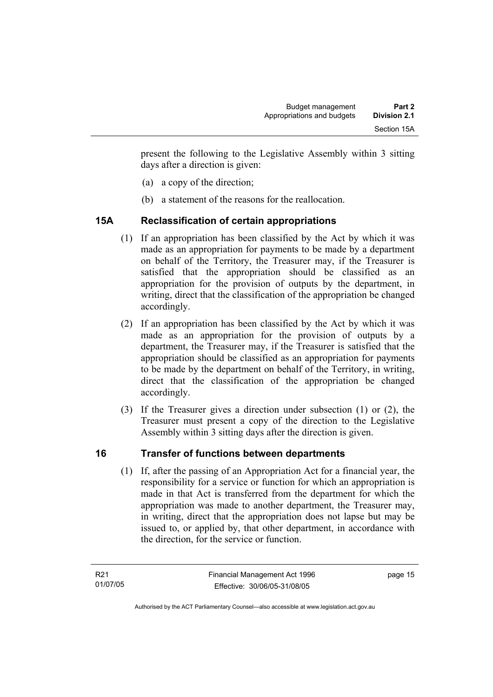present the following to the Legislative Assembly within 3 sitting days after a direction is given:

- (a) a copy of the direction;
- (b) a statement of the reasons for the reallocation.

#### **15A Reclassification of certain appropriations**

- (1) If an appropriation has been classified by the Act by which it was made as an appropriation for payments to be made by a department on behalf of the Territory, the Treasurer may, if the Treasurer is satisfied that the appropriation should be classified as an appropriation for the provision of outputs by the department, in writing, direct that the classification of the appropriation be changed accordingly.
- (2) If an appropriation has been classified by the Act by which it was made as an appropriation for the provision of outputs by a department, the Treasurer may, if the Treasurer is satisfied that the appropriation should be classified as an appropriation for payments to be made by the department on behalf of the Territory, in writing, direct that the classification of the appropriation be changed accordingly.
- (3) If the Treasurer gives a direction under subsection (1) or (2), the Treasurer must present a copy of the direction to the Legislative Assembly within 3 sitting days after the direction is given.

#### **16 Transfer of functions between departments**

 (1) If, after the passing of an Appropriation Act for a financial year, the responsibility for a service or function for which an appropriation is made in that Act is transferred from the department for which the appropriation was made to another department, the Treasurer may, in writing, direct that the appropriation does not lapse but may be issued to, or applied by, that other department, in accordance with the direction, for the service or function.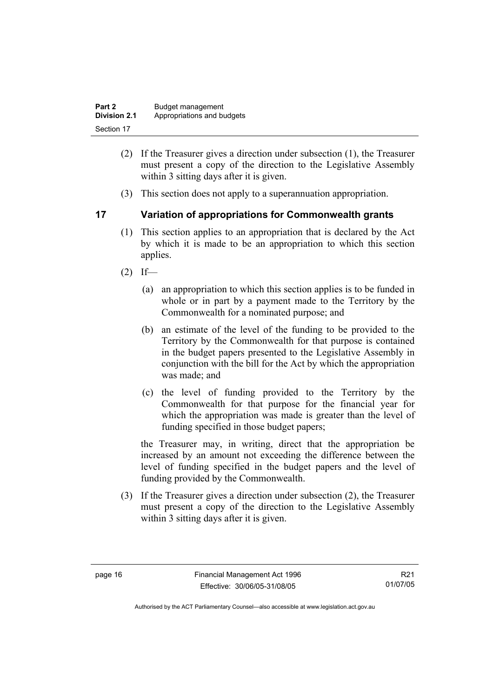| Part 2              | Budget management          |
|---------------------|----------------------------|
| <b>Division 2.1</b> | Appropriations and budgets |
| Section 17          |                            |

- (2) If the Treasurer gives a direction under subsection (1), the Treasurer must present a copy of the direction to the Legislative Assembly within 3 sitting days after it is given.
- (3) This section does not apply to a superannuation appropriation.

#### **17 Variation of appropriations for Commonwealth grants**

- (1) This section applies to an appropriation that is declared by the Act by which it is made to be an appropriation to which this section applies.
- $(2)$  If—
	- (a) an appropriation to which this section applies is to be funded in whole or in part by a payment made to the Territory by the Commonwealth for a nominated purpose; and
	- (b) an estimate of the level of the funding to be provided to the Territory by the Commonwealth for that purpose is contained in the budget papers presented to the Legislative Assembly in conjunction with the bill for the Act by which the appropriation was made; and
	- (c) the level of funding provided to the Territory by the Commonwealth for that purpose for the financial year for which the appropriation was made is greater than the level of funding specified in those budget papers;

the Treasurer may, in writing, direct that the appropriation be increased by an amount not exceeding the difference between the level of funding specified in the budget papers and the level of funding provided by the Commonwealth.

 (3) If the Treasurer gives a direction under subsection (2), the Treasurer must present a copy of the direction to the Legislative Assembly within 3 sitting days after it is given.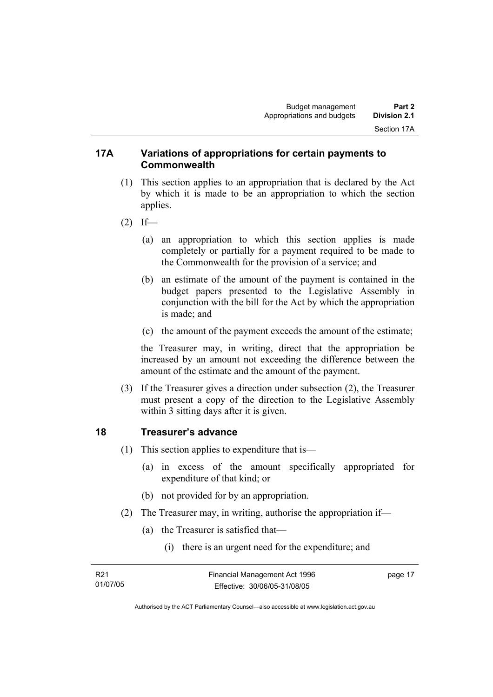#### **17A Variations of appropriations for certain payments to Commonwealth**

- (1) This section applies to an appropriation that is declared by the Act by which it is made to be an appropriation to which the section applies.
- $(2)$  If—
	- (a) an appropriation to which this section applies is made completely or partially for a payment required to be made to the Commonwealth for the provision of a service; and
	- (b) an estimate of the amount of the payment is contained in the budget papers presented to the Legislative Assembly in conjunction with the bill for the Act by which the appropriation is made; and
	- (c) the amount of the payment exceeds the amount of the estimate;

the Treasurer may, in writing, direct that the appropriation be increased by an amount not exceeding the difference between the amount of the estimate and the amount of the payment.

 (3) If the Treasurer gives a direction under subsection (2), the Treasurer must present a copy of the direction to the Legislative Assembly within 3 sitting days after it is given.

#### **18 Treasurer's advance**

- (1) This section applies to expenditure that is—
	- (a) in excess of the amount specifically appropriated for expenditure of that kind; or
	- (b) not provided for by an appropriation.
- (2) The Treasurer may, in writing, authorise the appropriation if—
	- (a) the Treasurer is satisfied that—
		- (i) there is an urgent need for the expenditure; and

| R21      | Financial Management Act 1996 | page 17 |
|----------|-------------------------------|---------|
| 01/07/05 | Effective: 30/06/05-31/08/05  |         |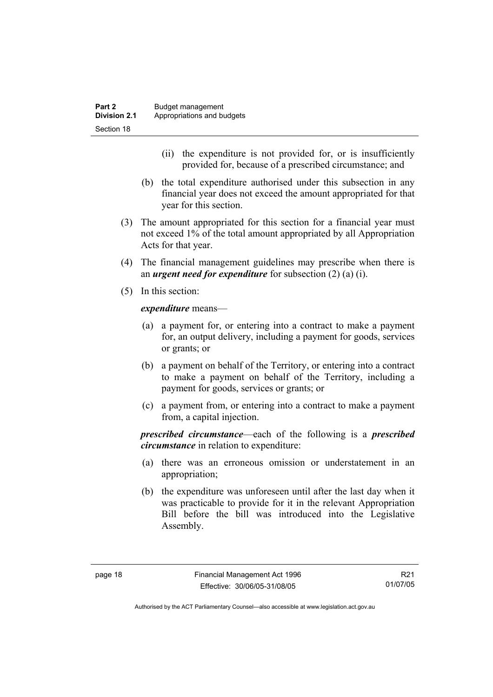- (ii) the expenditure is not provided for, or is insufficiently provided for, because of a prescribed circumstance; and
- (b) the total expenditure authorised under this subsection in any financial year does not exceed the amount appropriated for that year for this section.
- (3) The amount appropriated for this section for a financial year must not exceed 1% of the total amount appropriated by all Appropriation Acts for that year.
- (4) The financial management guidelines may prescribe when there is an *urgent need for expenditure* for subsection (2) (a) (i).
- (5) In this section:

*expenditure* means—

- (a) a payment for, or entering into a contract to make a payment for, an output delivery, including a payment for goods, services or grants; or
- (b) a payment on behalf of the Territory, or entering into a contract to make a payment on behalf of the Territory, including a payment for goods, services or grants; or
- (c) a payment from, or entering into a contract to make a payment from, a capital injection.

*prescribed circumstance*—each of the following is a *prescribed circumstance* in relation to expenditure:

- (a) there was an erroneous omission or understatement in an appropriation;
- (b) the expenditure was unforeseen until after the last day when it was practicable to provide for it in the relevant Appropriation Bill before the bill was introduced into the Legislative Assembly.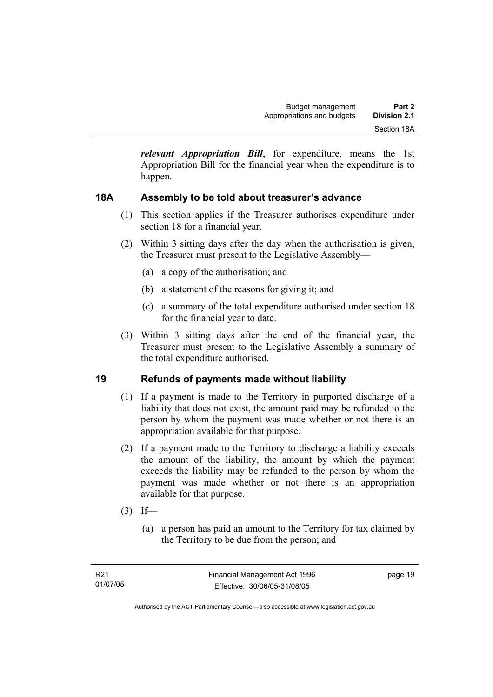*relevant Appropriation Bill*, for expenditure, means the 1st Appropriation Bill for the financial year when the expenditure is to happen.

#### **18A Assembly to be told about treasurer's advance**

- (1) This section applies if the Treasurer authorises expenditure under section 18 for a financial year.
- (2) Within 3 sitting days after the day when the authorisation is given, the Treasurer must present to the Legislative Assembly—
	- (a) a copy of the authorisation; and
	- (b) a statement of the reasons for giving it; and
	- (c) a summary of the total expenditure authorised under section 18 for the financial year to date.
- (3) Within 3 sitting days after the end of the financial year, the Treasurer must present to the Legislative Assembly a summary of the total expenditure authorised.

#### **19 Refunds of payments made without liability**

- (1) If a payment is made to the Territory in purported discharge of a liability that does not exist, the amount paid may be refunded to the person by whom the payment was made whether or not there is an appropriation available for that purpose.
- (2) If a payment made to the Territory to discharge a liability exceeds the amount of the liability, the amount by which the payment exceeds the liability may be refunded to the person by whom the payment was made whether or not there is an appropriation available for that purpose.
- $(3)$  If—
	- (a) a person has paid an amount to the Territory for tax claimed by the Territory to be due from the person; and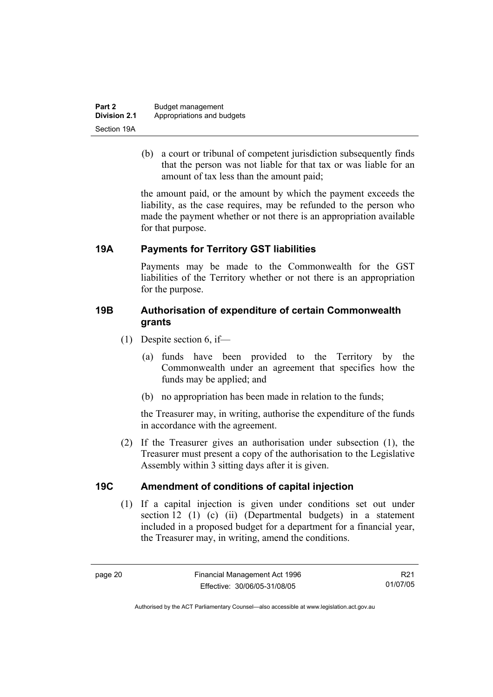| Part 2              | Budget management          |
|---------------------|----------------------------|
| <b>Division 2.1</b> | Appropriations and budgets |
| Section 19A         |                            |

 (b) a court or tribunal of competent jurisdiction subsequently finds that the person was not liable for that tax or was liable for an amount of tax less than the amount paid;

the amount paid, or the amount by which the payment exceeds the liability, as the case requires, may be refunded to the person who made the payment whether or not there is an appropriation available for that purpose.

#### **19A Payments for Territory GST liabilities**

Payments may be made to the Commonwealth for the GST liabilities of the Territory whether or not there is an appropriation for the purpose.

#### **19B Authorisation of expenditure of certain Commonwealth grants**

- (1) Despite section 6, if—
	- (a) funds have been provided to the Territory by the Commonwealth under an agreement that specifies how the funds may be applied; and
	- (b) no appropriation has been made in relation to the funds;

the Treasurer may, in writing, authorise the expenditure of the funds in accordance with the agreement.

 (2) If the Treasurer gives an authorisation under subsection (1), the Treasurer must present a copy of the authorisation to the Legislative Assembly within 3 sitting days after it is given.

#### **19C Amendment of conditions of capital injection**

 (1) If a capital injection is given under conditions set out under section 12 (1) (c) (ii) (Departmental budgets) in a statement included in a proposed budget for a department for a financial year, the Treasurer may, in writing, amend the conditions.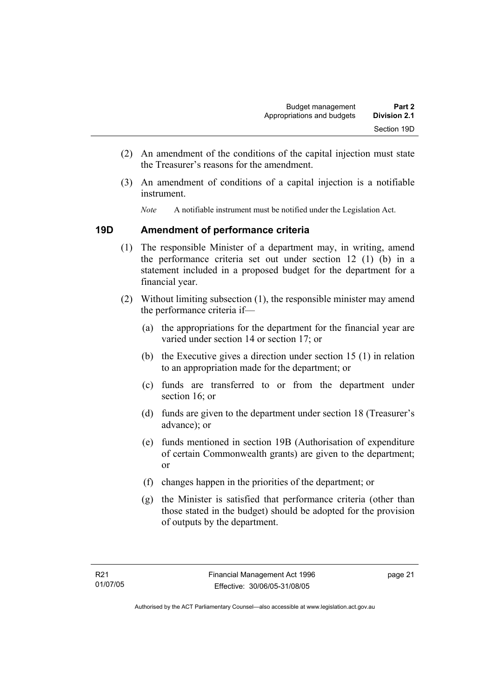- (2) An amendment of the conditions of the capital injection must state the Treasurer's reasons for the amendment.
- (3) An amendment of conditions of a capital injection is a notifiable instrument.
	- *Note* A notifiable instrument must be notified under the Legislation Act.

#### **19D Amendment of performance criteria**

- (1) The responsible Minister of a department may, in writing, amend the performance criteria set out under section 12 (1) (b) in a statement included in a proposed budget for the department for a financial year.
- (2) Without limiting subsection (1), the responsible minister may amend the performance criteria if—
	- (a) the appropriations for the department for the financial year are varied under section 14 or section 17; or
	- (b) the Executive gives a direction under section 15 (1) in relation to an appropriation made for the department; or
	- (c) funds are transferred to or from the department under section 16; or
	- (d) funds are given to the department under section 18 (Treasurer's advance); or
	- (e) funds mentioned in section 19B (Authorisation of expenditure of certain Commonwealth grants) are given to the department; or
	- (f) changes happen in the priorities of the department; or
	- (g) the Minister is satisfied that performance criteria (other than those stated in the budget) should be adopted for the provision of outputs by the department.

page 21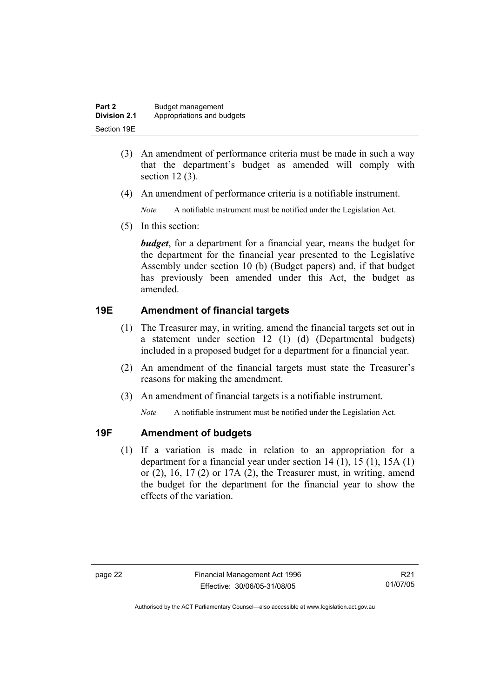| Part 2       | Budget management          |
|--------------|----------------------------|
| Division 2.1 | Appropriations and budgets |
| Section 19E  |                            |

- (3) An amendment of performance criteria must be made in such a way that the department's budget as amended will comply with section 12 (3).
- (4) An amendment of performance criteria is a notifiable instrument.

*Note* A notifiable instrument must be notified under the Legislation Act.

(5) In this section:

*budget*, for a department for a financial year, means the budget for the department for the financial year presented to the Legislative Assembly under section 10 (b) (Budget papers) and, if that budget has previously been amended under this Act, the budget as amended.

#### **19E Amendment of financial targets**

- (1) The Treasurer may, in writing, amend the financial targets set out in a statement under section 12 (1) (d) (Departmental budgets) included in a proposed budget for a department for a financial year.
- (2) An amendment of the financial targets must state the Treasurer's reasons for making the amendment.
- (3) An amendment of financial targets is a notifiable instrument.

*Note* A notifiable instrument must be notified under the Legislation Act.

#### **19F Amendment of budgets**

 (1) If a variation is made in relation to an appropriation for a department for a financial year under section 14 (1), 15 (1), 15A (1) or  $(2)$ ,  $16$ ,  $17(2)$  or  $17A(2)$ , the Treasurer must, in writing, amend the budget for the department for the financial year to show the effects of the variation.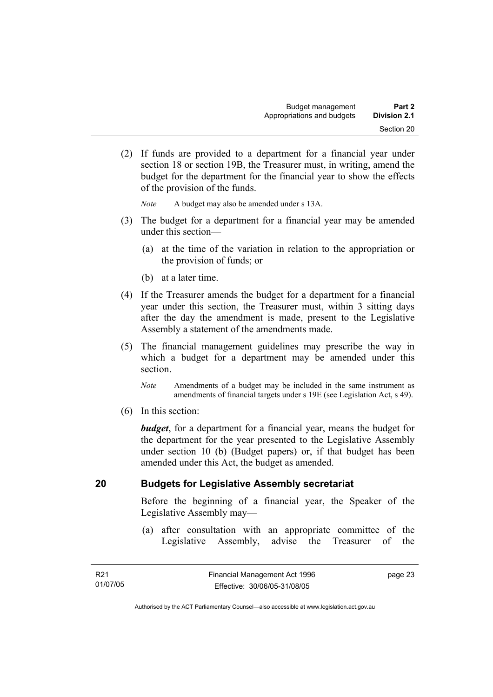(2) If funds are provided to a department for a financial year under section 18 or section 19B, the Treasurer must, in writing, amend the budget for the department for the financial year to show the effects of the provision of the funds.

*Note* A budget may also be amended under s 13A.

- (3) The budget for a department for a financial year may be amended under this section—
	- (a) at the time of the variation in relation to the appropriation or the provision of funds; or
	- (b) at a later time.
- (4) If the Treasurer amends the budget for a department for a financial year under this section, the Treasurer must, within 3 sitting days after the day the amendment is made, present to the Legislative Assembly a statement of the amendments made.
- (5) The financial management guidelines may prescribe the way in which a budget for a department may be amended under this section.
	- *Note* Amendments of a budget may be included in the same instrument as amendments of financial targets under s 19E (see Legislation Act, s 49).
- (6) In this section:

*budget*, for a department for a financial year, means the budget for the department for the year presented to the Legislative Assembly under section 10 (b) (Budget papers) or, if that budget has been amended under this Act, the budget as amended.

#### **20 Budgets for Legislative Assembly secretariat**

Before the beginning of a financial year, the Speaker of the Legislative Assembly may—

 (a) after consultation with an appropriate committee of the Legislative Assembly, advise the Treasurer of the

page 23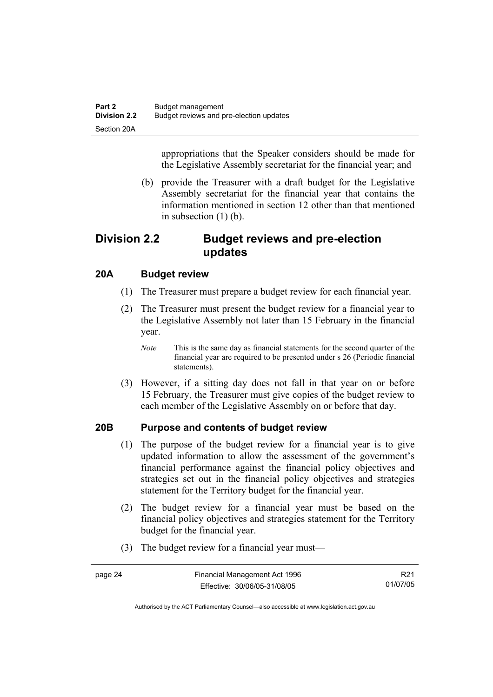appropriations that the Speaker considers should be made for the Legislative Assembly secretariat for the financial year; and

 (b) provide the Treasurer with a draft budget for the Legislative Assembly secretariat for the financial year that contains the information mentioned in section 12 other than that mentioned in subsection (1) (b).

#### **Division 2.2 Budget reviews and pre-election updates**

#### **20A Budget review**

- (1) The Treasurer must prepare a budget review for each financial year.
- (2) The Treasurer must present the budget review for a financial year to the Legislative Assembly not later than 15 February in the financial year.
	- *Note* This is the same day as financial statements for the second quarter of the financial year are required to be presented under s 26 (Periodic financial statements).
- (3) However, if a sitting day does not fall in that year on or before 15 February, the Treasurer must give copies of the budget review to each member of the Legislative Assembly on or before that day.

#### **20B Purpose and contents of budget review**

- (1) The purpose of the budget review for a financial year is to give updated information to allow the assessment of the government's financial performance against the financial policy objectives and strategies set out in the financial policy objectives and strategies statement for the Territory budget for the financial year.
- (2) The budget review for a financial year must be based on the financial policy objectives and strategies statement for the Territory budget for the financial year.
- (3) The budget review for a financial year must—

| page 24 | Financial Management Act 1996 | R <sub>21</sub> |
|---------|-------------------------------|-----------------|
|         | Effective: 30/06/05-31/08/05  | 01/07/05        |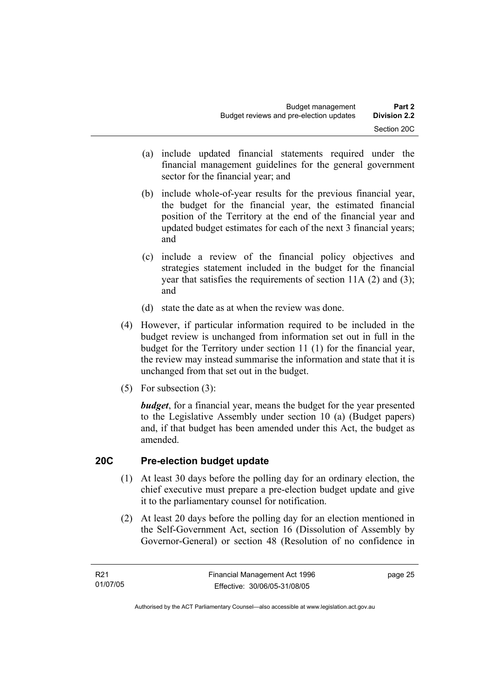- (a) include updated financial statements required under the financial management guidelines for the general government sector for the financial year; and
- (b) include whole-of-year results for the previous financial year, the budget for the financial year, the estimated financial position of the Territory at the end of the financial year and updated budget estimates for each of the next 3 financial years; and
- (c) include a review of the financial policy objectives and strategies statement included in the budget for the financial year that satisfies the requirements of section 11A (2) and (3); and
- (d) state the date as at when the review was done.
- (4) However, if particular information required to be included in the budget review is unchanged from information set out in full in the budget for the Territory under section 11 (1) for the financial year, the review may instead summarise the information and state that it is unchanged from that set out in the budget.
- (5) For subsection (3):

*budget*, for a financial year, means the budget for the year presented to the Legislative Assembly under section 10 (a) (Budget papers) and, if that budget has been amended under this Act, the budget as amended.

#### **20C Pre-election budget update**

- (1) At least 30 days before the polling day for an ordinary election, the chief executive must prepare a pre-election budget update and give it to the parliamentary counsel for notification.
- (2) At least 20 days before the polling day for an election mentioned in the Self-Government Act, section 16 (Dissolution of Assembly by Governor-General) or section 48 (Resolution of no confidence in

page 25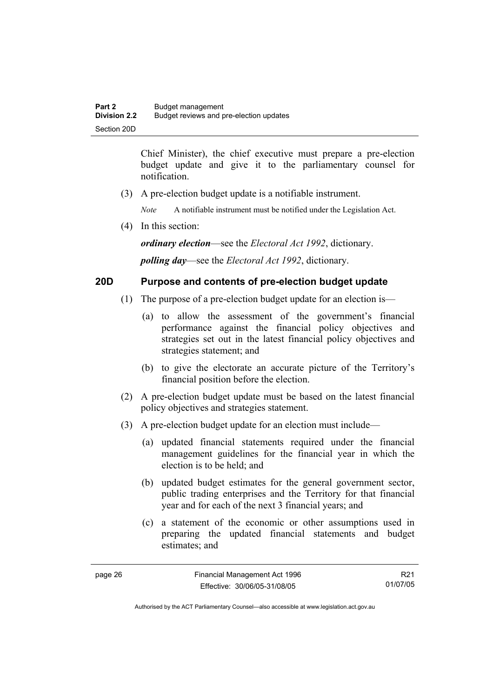Chief Minister), the chief executive must prepare a pre-election budget update and give it to the parliamentary counsel for notification.

(3) A pre-election budget update is a notifiable instrument.

*Note* A notifiable instrument must be notified under the Legislation Act.

(4) In this section:

*ordinary election*—see the *Electoral Act 1992*, dictionary.

*polling day*—see the *Electoral Act 1992*, dictionary.

#### **20D Purpose and contents of pre-election budget update**

- (1) The purpose of a pre-election budget update for an election is—
	- (a) to allow the assessment of the government's financial performance against the financial policy objectives and strategies set out in the latest financial policy objectives and strategies statement; and
	- (b) to give the electorate an accurate picture of the Territory's financial position before the election.
- (2) A pre-election budget update must be based on the latest financial policy objectives and strategies statement.
- (3) A pre-election budget update for an election must include—
	- (a) updated financial statements required under the financial management guidelines for the financial year in which the election is to be held; and
	- (b) updated budget estimates for the general government sector, public trading enterprises and the Territory for that financial year and for each of the next 3 financial years; and
	- (c) a statement of the economic or other assumptions used in preparing the updated financial statements and budget estimates; and

R21 01/07/05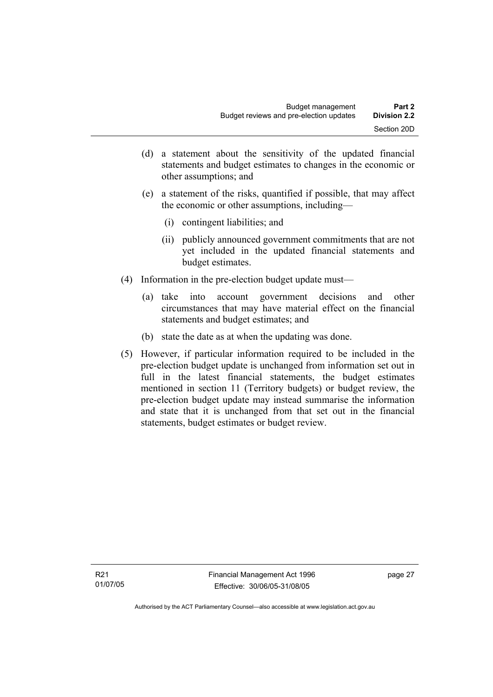- (d) a statement about the sensitivity of the updated financial statements and budget estimates to changes in the economic or other assumptions; and
- (e) a statement of the risks, quantified if possible, that may affect the economic or other assumptions, including—
	- (i) contingent liabilities; and
	- (ii) publicly announced government commitments that are not yet included in the updated financial statements and budget estimates.
- (4) Information in the pre-election budget update must—
	- (a) take into account government decisions and other circumstances that may have material effect on the financial statements and budget estimates; and
	- (b) state the date as at when the updating was done.
- (5) However, if particular information required to be included in the pre-election budget update is unchanged from information set out in full in the latest financial statements, the budget estimates mentioned in section 11 (Territory budgets) or budget review, the pre-election budget update may instead summarise the information and state that it is unchanged from that set out in the financial statements, budget estimates or budget review.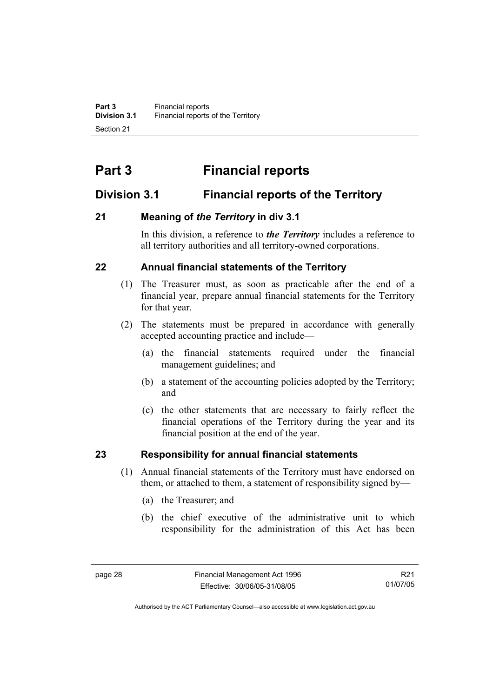# **Part 3 Financial reports**

### **Division 3.1 Financial reports of the Territory**

#### **21 Meaning of** *the Territory* **in div 3.1**

In this division, a reference to *the Territory* includes a reference to all territory authorities and all territory-owned corporations.

#### **22 Annual financial statements of the Territory**

- (1) The Treasurer must, as soon as practicable after the end of a financial year, prepare annual financial statements for the Territory for that year.
- (2) The statements must be prepared in accordance with generally accepted accounting practice and include—
	- (a) the financial statements required under the financial management guidelines; and
	- (b) a statement of the accounting policies adopted by the Territory; and
	- (c) the other statements that are necessary to fairly reflect the financial operations of the Territory during the year and its financial position at the end of the year.

#### **23 Responsibility for annual financial statements**

- (1) Annual financial statements of the Territory must have endorsed on them, or attached to them, a statement of responsibility signed by—
	- (a) the Treasurer; and
	- (b) the chief executive of the administrative unit to which responsibility for the administration of this Act has been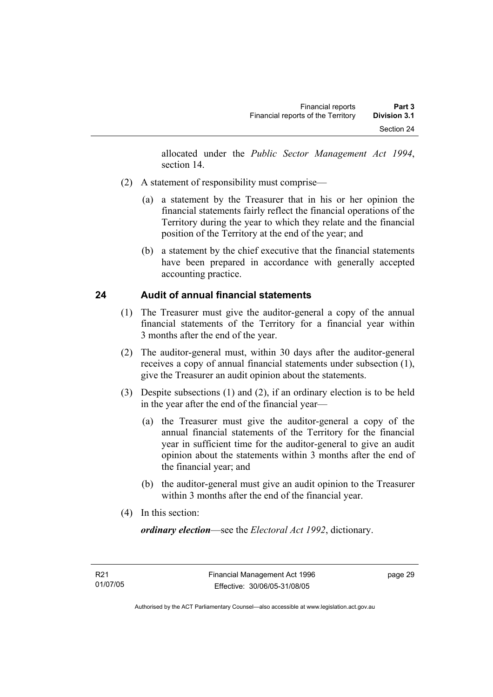allocated under the *Public Sector Management Act 1994*, section 14.

- (2) A statement of responsibility must comprise—
	- (a) a statement by the Treasurer that in his or her opinion the financial statements fairly reflect the financial operations of the Territory during the year to which they relate and the financial position of the Territory at the end of the year; and
	- (b) a statement by the chief executive that the financial statements have been prepared in accordance with generally accepted accounting practice.

## **24 Audit of annual financial statements**

- (1) The Treasurer must give the auditor-general a copy of the annual financial statements of the Territory for a financial year within 3 months after the end of the year.
- (2) The auditor-general must, within 30 days after the auditor-general receives a copy of annual financial statements under subsection (1), give the Treasurer an audit opinion about the statements.
- (3) Despite subsections (1) and (2), if an ordinary election is to be held in the year after the end of the financial year—
	- (a) the Treasurer must give the auditor-general a copy of the annual financial statements of the Territory for the financial year in sufficient time for the auditor-general to give an audit opinion about the statements within 3 months after the end of the financial year; and
	- (b) the auditor-general must give an audit opinion to the Treasurer within 3 months after the end of the financial year.
- (4) In this section:

*ordinary election*—see the *Electoral Act 1992*, dictionary.

page 29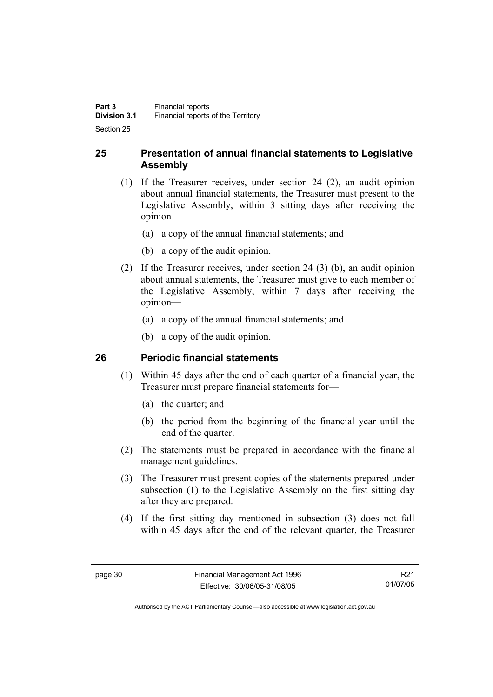## **25 Presentation of annual financial statements to Legislative Assembly**

- (1) If the Treasurer receives, under section 24 (2), an audit opinion about annual financial statements, the Treasurer must present to the Legislative Assembly, within 3 sitting days after receiving the opinion—
	- (a) a copy of the annual financial statements; and
	- (b) a copy of the audit opinion.
- (2) If the Treasurer receives, under section 24 (3) (b), an audit opinion about annual statements, the Treasurer must give to each member of the Legislative Assembly, within 7 days after receiving the opinion—
	- (a) a copy of the annual financial statements; and
	- (b) a copy of the audit opinion.

## **26 Periodic financial statements**

- (1) Within 45 days after the end of each quarter of a financial year, the Treasurer must prepare financial statements for—
	- (a) the quarter; and
	- (b) the period from the beginning of the financial year until the end of the quarter.
- (2) The statements must be prepared in accordance with the financial management guidelines.
- (3) The Treasurer must present copies of the statements prepared under subsection (1) to the Legislative Assembly on the first sitting day after they are prepared.
- (4) If the first sitting day mentioned in subsection (3) does not fall within 45 days after the end of the relevant quarter, the Treasurer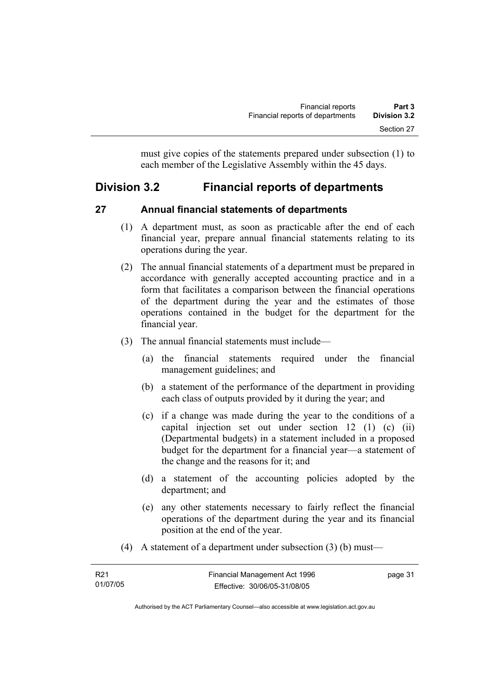must give copies of the statements prepared under subsection (1) to each member of the Legislative Assembly within the 45 days.

# **Division 3.2 Financial reports of departments**

## **27 Annual financial statements of departments**

- (1) A department must, as soon as practicable after the end of each financial year, prepare annual financial statements relating to its operations during the year.
- (2) The annual financial statements of a department must be prepared in accordance with generally accepted accounting practice and in a form that facilitates a comparison between the financial operations of the department during the year and the estimates of those operations contained in the budget for the department for the financial year.
- (3) The annual financial statements must include—
	- (a) the financial statements required under the financial management guidelines; and
	- (b) a statement of the performance of the department in providing each class of outputs provided by it during the year; and
	- (c) if a change was made during the year to the conditions of a capital injection set out under section 12 (1) (c) (ii) (Departmental budgets) in a statement included in a proposed budget for the department for a financial year—a statement of the change and the reasons for it; and
	- (d) a statement of the accounting policies adopted by the department; and
	- (e) any other statements necessary to fairly reflect the financial operations of the department during the year and its financial position at the end of the year.
- (4) A statement of a department under subsection (3) (b) must—

| R <sub>21</sub> | Financial Management Act 1996 | page 31 |
|-----------------|-------------------------------|---------|
| 01/07/05        | Effective: 30/06/05-31/08/05  |         |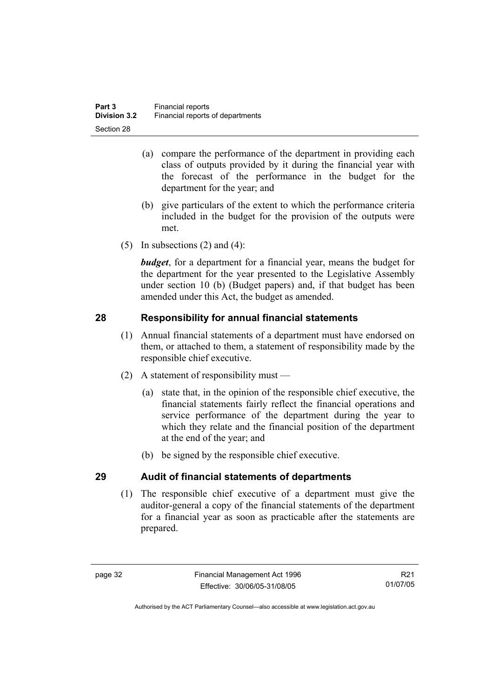- (a) compare the performance of the department in providing each class of outputs provided by it during the financial year with the forecast of the performance in the budget for the department for the year; and
- (b) give particulars of the extent to which the performance criteria included in the budget for the provision of the outputs were met.
- (5) In subsections  $(2)$  and  $(4)$ :

*budget*, for a department for a financial year, means the budget for the department for the year presented to the Legislative Assembly under section 10 (b) (Budget papers) and, if that budget has been amended under this Act, the budget as amended.

## **28 Responsibility for annual financial statements**

- (1) Annual financial statements of a department must have endorsed on them, or attached to them, a statement of responsibility made by the responsible chief executive.
- (2) A statement of responsibility must
	- (a) state that, in the opinion of the responsible chief executive, the financial statements fairly reflect the financial operations and service performance of the department during the year to which they relate and the financial position of the department at the end of the year; and
	- (b) be signed by the responsible chief executive.

# **29 Audit of financial statements of departments**

 (1) The responsible chief executive of a department must give the auditor-general a copy of the financial statements of the department for a financial year as soon as practicable after the statements are prepared.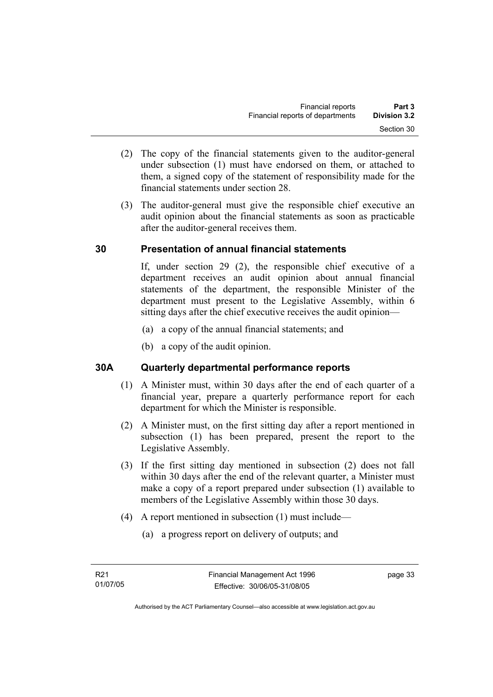- (2) The copy of the financial statements given to the auditor-general under subsection (1) must have endorsed on them, or attached to them, a signed copy of the statement of responsibility made for the financial statements under section 28.
- (3) The auditor-general must give the responsible chief executive an audit opinion about the financial statements as soon as practicable after the auditor-general receives them.

## **30 Presentation of annual financial statements**

If, under section 29 (2), the responsible chief executive of a department receives an audit opinion about annual financial statements of the department, the responsible Minister of the department must present to the Legislative Assembly, within 6 sitting days after the chief executive receives the audit opinion—

- (a) a copy of the annual financial statements; and
- (b) a copy of the audit opinion.

## **30A Quarterly departmental performance reports**

- (1) A Minister must, within 30 days after the end of each quarter of a financial year, prepare a quarterly performance report for each department for which the Minister is responsible.
- (2) A Minister must, on the first sitting day after a report mentioned in subsection (1) has been prepared, present the report to the Legislative Assembly.
- (3) If the first sitting day mentioned in subsection (2) does not fall within 30 days after the end of the relevant quarter, a Minister must make a copy of a report prepared under subsection (1) available to members of the Legislative Assembly within those 30 days.
- (4) A report mentioned in subsection (1) must include—
	- (a) a progress report on delivery of outputs; and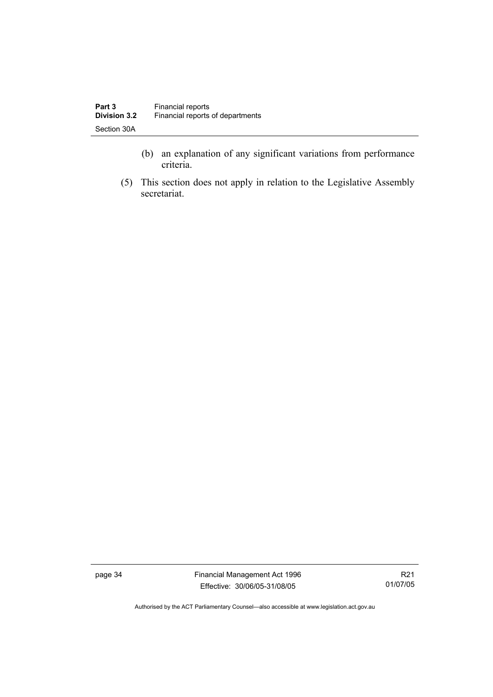- (b) an explanation of any significant variations from performance criteria.
- (5) This section does not apply in relation to the Legislative Assembly secretariat.

page 34 Financial Management Act 1996 Effective: 30/06/05-31/08/05

R21 01/07/05

Authorised by the ACT Parliamentary Counsel—also accessible at www.legislation.act.gov.au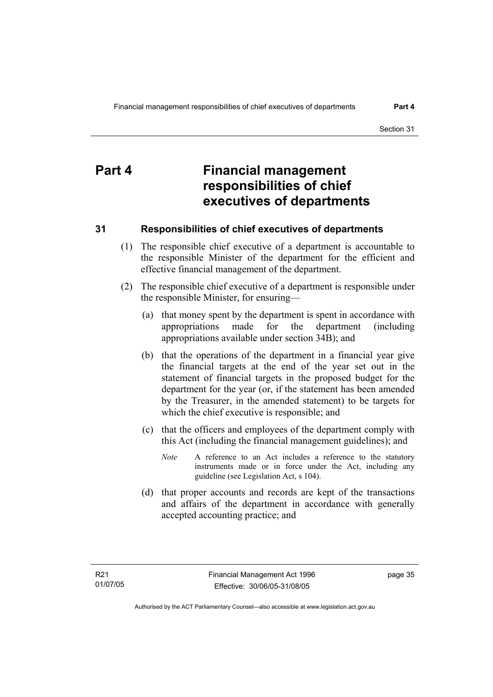# **Part 4 Financial management responsibilities of chief executives of departments**

## **31 Responsibilities of chief executives of departments**

- (1) The responsible chief executive of a department is accountable to the responsible Minister of the department for the efficient and effective financial management of the department.
- (2) The responsible chief executive of a department is responsible under the responsible Minister, for ensuring—
	- (a) that money spent by the department is spent in accordance with appropriations made for the department (including appropriations available under section 34B); and
	- (b) that the operations of the department in a financial year give the financial targets at the end of the year set out in the statement of financial targets in the proposed budget for the department for the year (or, if the statement has been amended by the Treasurer, in the amended statement) to be targets for which the chief executive is responsible; and
	- (c) that the officers and employees of the department comply with this Act (including the financial management guidelines); and
		- *Note* A reference to an Act includes a reference to the statutory instruments made or in force under the Act, including any guideline (see Legislation Act, s 104).
	- (d) that proper accounts and records are kept of the transactions and affairs of the department in accordance with generally accepted accounting practice; and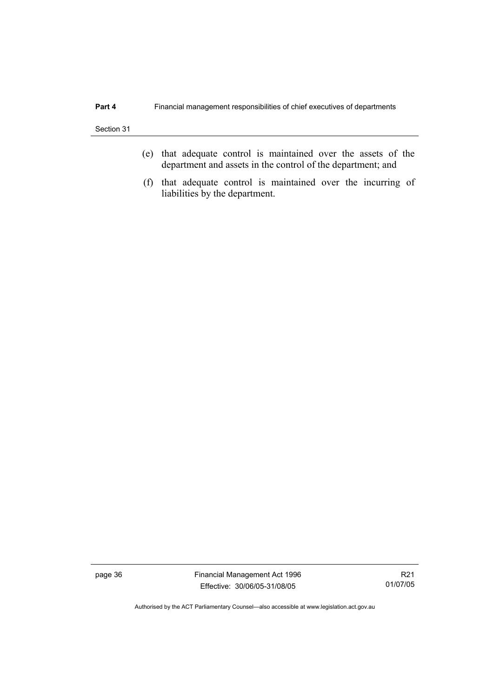- (e) that adequate control is maintained over the assets of the department and assets in the control of the department; and
- (f) that adequate control is maintained over the incurring of liabilities by the department.

page 36 Financial Management Act 1996 Effective: 30/06/05-31/08/05

R21 01/07/05

Authorised by the ACT Parliamentary Counsel—also accessible at www.legislation.act.gov.au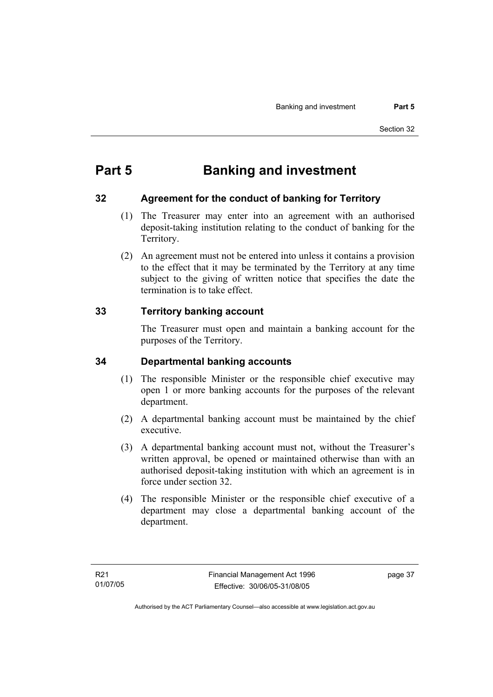# **Part 5 Banking and investment**

## **32 Agreement for the conduct of banking for Territory**

- (1) The Treasurer may enter into an agreement with an authorised deposit-taking institution relating to the conduct of banking for the Territory.
- (2) An agreement must not be entered into unless it contains a provision to the effect that it may be terminated by the Territory at any time subject to the giving of written notice that specifies the date the termination is to take effect.

## **33 Territory banking account**

The Treasurer must open and maintain a banking account for the purposes of the Territory.

## **34 Departmental banking accounts**

- (1) The responsible Minister or the responsible chief executive may open 1 or more banking accounts for the purposes of the relevant department.
- (2) A departmental banking account must be maintained by the chief executive.
- (3) A departmental banking account must not, without the Treasurer's written approval, be opened or maintained otherwise than with an authorised deposit-taking institution with which an agreement is in force under section 32.
- (4) The responsible Minister or the responsible chief executive of a department may close a departmental banking account of the department.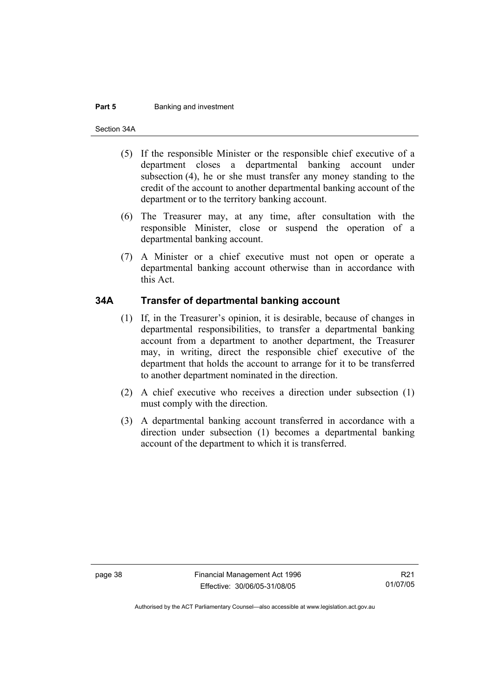#### **Part 5 Banking and investment**

Section 34A

- (5) If the responsible Minister or the responsible chief executive of a department closes a departmental banking account under subsection (4), he or she must transfer any money standing to the credit of the account to another departmental banking account of the department or to the territory banking account.
- (6) The Treasurer may, at any time, after consultation with the responsible Minister, close or suspend the operation of a departmental banking account.
- (7) A Minister or a chief executive must not open or operate a departmental banking account otherwise than in accordance with this Act.

#### **34A Transfer of departmental banking account**

- (1) If, in the Treasurer's opinion, it is desirable, because of changes in departmental responsibilities, to transfer a departmental banking account from a department to another department, the Treasurer may, in writing, direct the responsible chief executive of the department that holds the account to arrange for it to be transferred to another department nominated in the direction.
- (2) A chief executive who receives a direction under subsection (1) must comply with the direction.
- (3) A departmental banking account transferred in accordance with a direction under subsection (1) becomes a departmental banking account of the department to which it is transferred.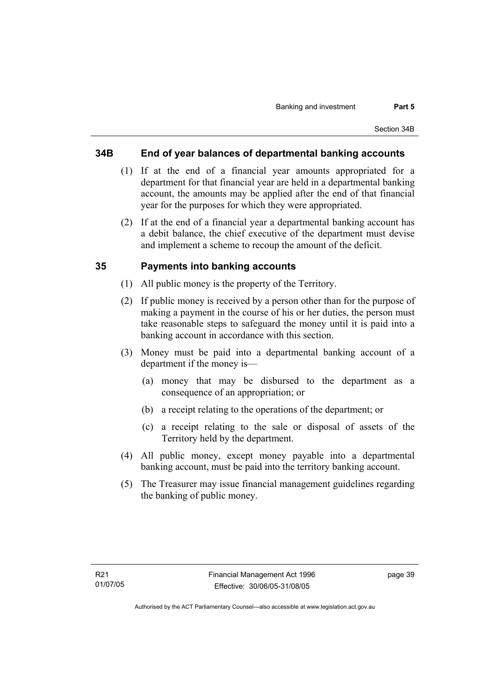#### **34B End of year balances of departmental banking accounts**

- (1) If at the end of a financial year amounts appropriated for a department for that financial year are held in a departmental banking account, the amounts may be applied after the end of that financial year for the purposes for which they were appropriated.
- (2) If at the end of a financial year a departmental banking account has a debit balance, the chief executive of the department must devise and implement a scheme to recoup the amount of the deficit.

#### **35 Payments into banking accounts**

- (1) All public money is the property of the Territory.
- (2) If public money is received by a person other than for the purpose of making a payment in the course of his or her duties, the person must take reasonable steps to safeguard the money until it is paid into a banking account in accordance with this section.
- (3) Money must be paid into a departmental banking account of a department if the money is—
	- (a) money that may be disbursed to the department as a consequence of an appropriation; or
	- (b) a receipt relating to the operations of the department; or
	- (c) a receipt relating to the sale or disposal of assets of the Territory held by the department.
- (4) All public money, except money payable into a departmental banking account, must be paid into the territory banking account.
- (5) The Treasurer may issue financial management guidelines regarding the banking of public money.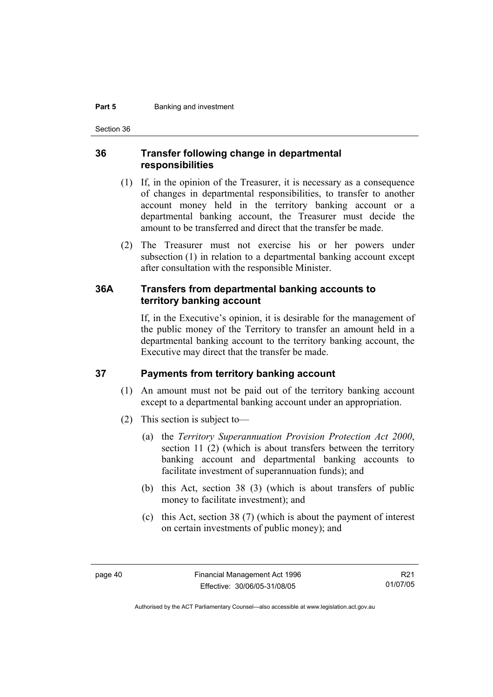#### **Part 5 Banking and investment**

Section 36

#### **36 Transfer following change in departmental responsibilities**

- (1) If, in the opinion of the Treasurer, it is necessary as a consequence of changes in departmental responsibilities, to transfer to another account money held in the territory banking account or a departmental banking account, the Treasurer must decide the amount to be transferred and direct that the transfer be made.
- (2) The Treasurer must not exercise his or her powers under subsection (1) in relation to a departmental banking account except after consultation with the responsible Minister.

#### **36A Transfers from departmental banking accounts to territory banking account**

If, in the Executive's opinion, it is desirable for the management of the public money of the Territory to transfer an amount held in a departmental banking account to the territory banking account, the Executive may direct that the transfer be made.

#### **37 Payments from territory banking account**

- (1) An amount must not be paid out of the territory banking account except to a departmental banking account under an appropriation.
- (2) This section is subject to—
	- (a) the *Territory Superannuation Provision Protection Act 2000*, section 11 (2) (which is about transfers between the territory banking account and departmental banking accounts to facilitate investment of superannuation funds); and
	- (b) this Act, section 38 (3) (which is about transfers of public money to facilitate investment); and
	- (c) this Act, section 38 (7) (which is about the payment of interest on certain investments of public money); and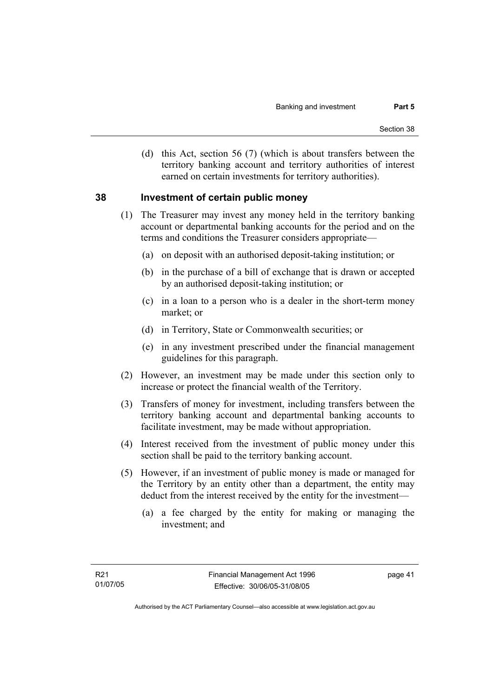(d) this Act, section 56 (7) (which is about transfers between the territory banking account and territory authorities of interest earned on certain investments for territory authorities).

#### **38 Investment of certain public money**

- (1) The Treasurer may invest any money held in the territory banking account or departmental banking accounts for the period and on the terms and conditions the Treasurer considers appropriate—
	- (a) on deposit with an authorised deposit-taking institution; or
	- (b) in the purchase of a bill of exchange that is drawn or accepted by an authorised deposit-taking institution; or
	- (c) in a loan to a person who is a dealer in the short-term money market; or
	- (d) in Territory, State or Commonwealth securities; or
	- (e) in any investment prescribed under the financial management guidelines for this paragraph.
- (2) However, an investment may be made under this section only to increase or protect the financial wealth of the Territory.
- (3) Transfers of money for investment, including transfers between the territory banking account and departmental banking accounts to facilitate investment, may be made without appropriation.
- (4) Interest received from the investment of public money under this section shall be paid to the territory banking account.
- (5) However, if an investment of public money is made or managed for the Territory by an entity other than a department, the entity may deduct from the interest received by the entity for the investment—
	- (a) a fee charged by the entity for making or managing the investment; and

page 41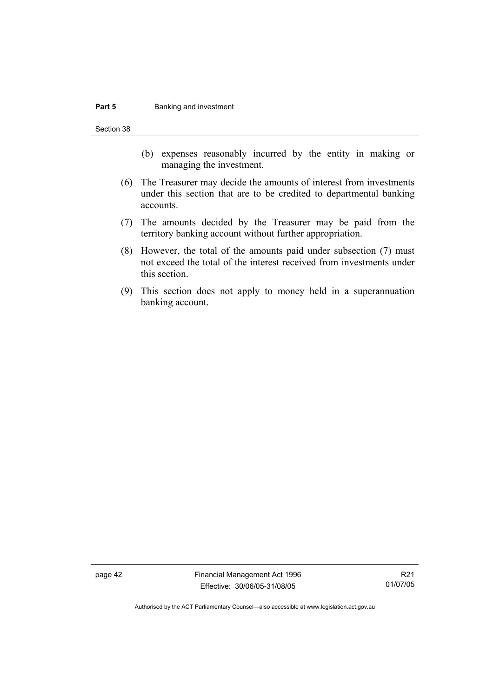#### **Part 5 Banking and investment**

Section 38

- (b) expenses reasonably incurred by the entity in making or managing the investment.
- (6) The Treasurer may decide the amounts of interest from investments under this section that are to be credited to departmental banking accounts.
- (7) The amounts decided by the Treasurer may be paid from the territory banking account without further appropriation.
- (8) However, the total of the amounts paid under subsection (7) must not exceed the total of the interest received from investments under this section.
- (9) This section does not apply to money held in a superannuation banking account.

page 42 Financial Management Act 1996 Effective: 30/06/05-31/08/05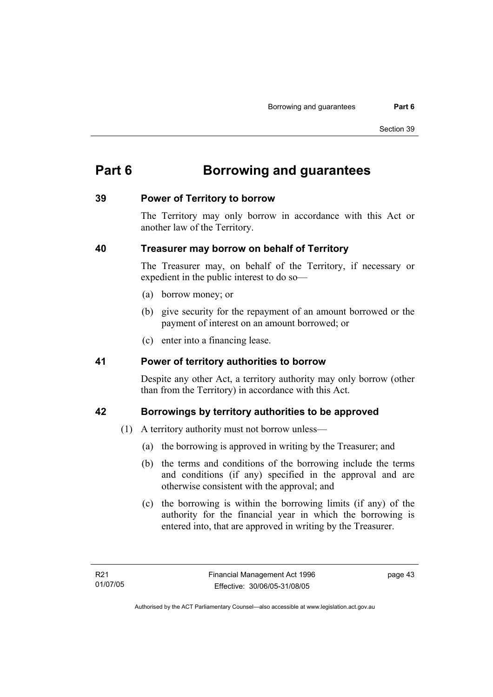# **Part 6 Borrowing and guarantees**

#### **39 Power of Territory to borrow**

The Territory may only borrow in accordance with this Act or another law of the Territory.

#### **40 Treasurer may borrow on behalf of Territory**

The Treasurer may, on behalf of the Territory, if necessary or expedient in the public interest to do so—

- (a) borrow money; or
- (b) give security for the repayment of an amount borrowed or the payment of interest on an amount borrowed; or
- (c) enter into a financing lease.

#### **41 Power of territory authorities to borrow**

Despite any other Act, a territory authority may only borrow (other than from the Territory) in accordance with this Act.

## **42 Borrowings by territory authorities to be approved**

- (1) A territory authority must not borrow unless—
	- (a) the borrowing is approved in writing by the Treasurer; and
	- (b) the terms and conditions of the borrowing include the terms and conditions (if any) specified in the approval and are otherwise consistent with the approval; and
	- (c) the borrowing is within the borrowing limits (if any) of the authority for the financial year in which the borrowing is entered into, that are approved in writing by the Treasurer.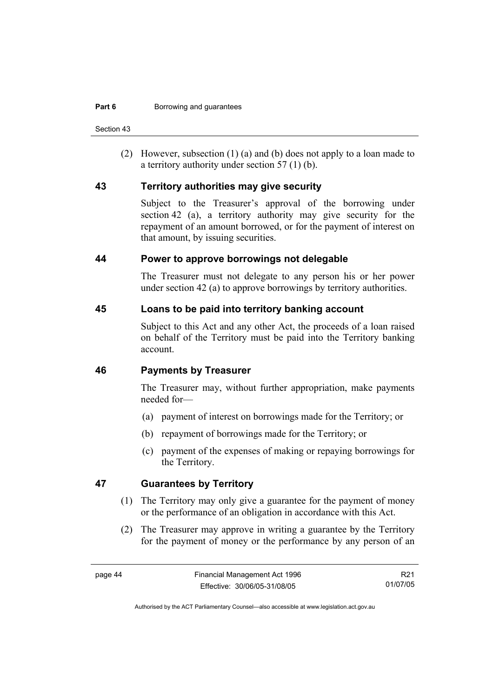Section 43

 (2) However, subsection (1) (a) and (b) does not apply to a loan made to a territory authority under section 57 (1) (b).

#### **43 Territory authorities may give security**

Subject to the Treasurer's approval of the borrowing under section 42 (a), a territory authority may give security for the repayment of an amount borrowed, or for the payment of interest on that amount, by issuing securities.

#### **44 Power to approve borrowings not delegable**

The Treasurer must not delegate to any person his or her power under section 42 (a) to approve borrowings by territory authorities.

#### **45 Loans to be paid into territory banking account**

Subject to this Act and any other Act, the proceeds of a loan raised on behalf of the Territory must be paid into the Territory banking account.

#### **46 Payments by Treasurer**

The Treasurer may, without further appropriation, make payments needed for—

- (a) payment of interest on borrowings made for the Territory; or
- (b) repayment of borrowings made for the Territory; or
- (c) payment of the expenses of making or repaying borrowings for the Territory.

## **47 Guarantees by Territory**

- (1) The Territory may only give a guarantee for the payment of money or the performance of an obligation in accordance with this Act.
- (2) The Treasurer may approve in writing a guarantee by the Territory for the payment of money or the performance by any person of an

R21 01/07/05

Authorised by the ACT Parliamentary Counsel—also accessible at www.legislation.act.gov.au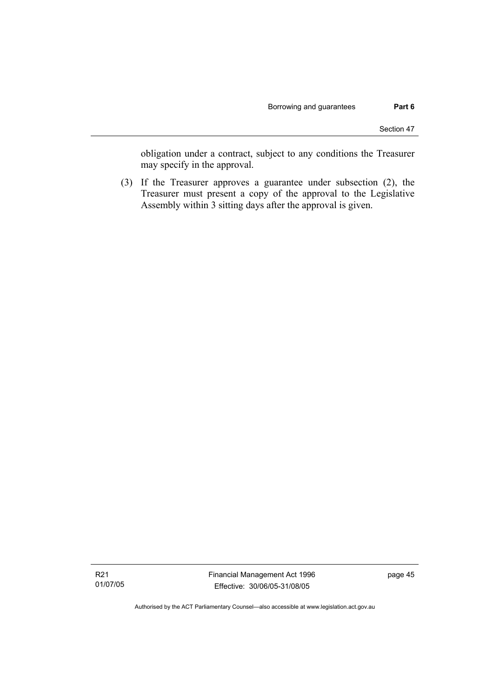obligation under a contract, subject to any conditions the Treasurer may specify in the approval.

 (3) If the Treasurer approves a guarantee under subsection (2), the Treasurer must present a copy of the approval to the Legislative Assembly within 3 sitting days after the approval is given.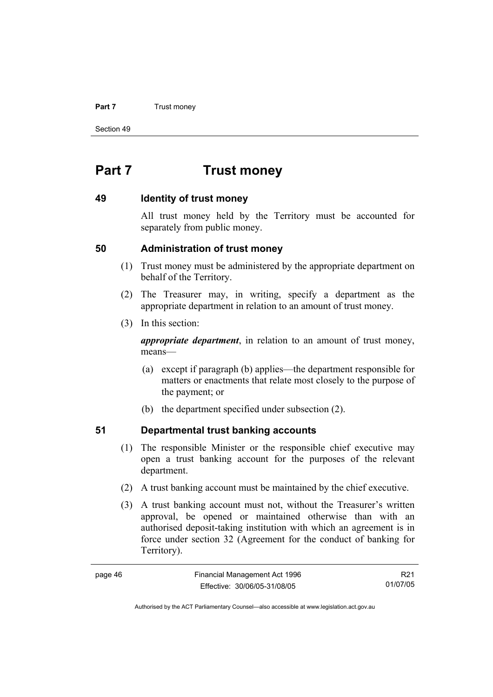#### **Part 7 Trust money**

Section 49

# **Part 7 Trust money**

#### **49 Identity of trust money**

All trust money held by the Territory must be accounted for separately from public money.

#### **50 Administration of trust money**

- (1) Trust money must be administered by the appropriate department on behalf of the Territory.
- (2) The Treasurer may, in writing, specify a department as the appropriate department in relation to an amount of trust money.
- (3) In this section:

*appropriate department*, in relation to an amount of trust money, means—

- (a) except if paragraph (b) applies—the department responsible for matters or enactments that relate most closely to the purpose of the payment; or
- (b) the department specified under subsection (2).

## **51 Departmental trust banking accounts**

- (1) The responsible Minister or the responsible chief executive may open a trust banking account for the purposes of the relevant department.
- (2) A trust banking account must be maintained by the chief executive.
- (3) A trust banking account must not, without the Treasurer's written approval, be opened or maintained otherwise than with an authorised deposit-taking institution with which an agreement is in force under section 32 (Agreement for the conduct of banking for Territory).

| page 46 | Financial Management Act 1996 | R <sub>21</sub> |
|---------|-------------------------------|-----------------|
|         | Effective: 30/06/05-31/08/05  | 01/07/05        |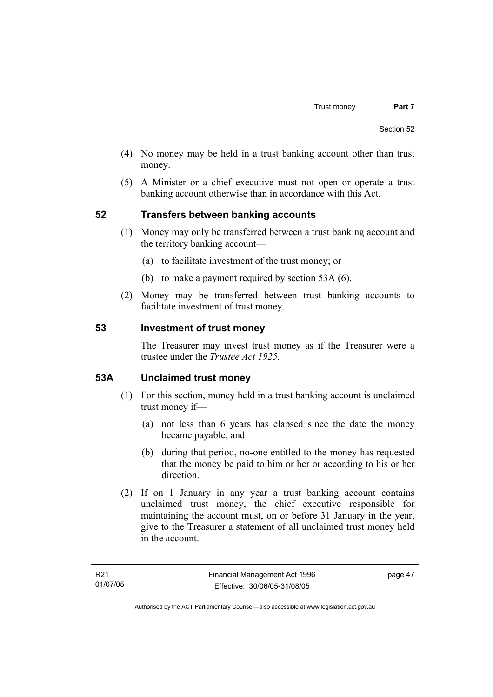- (4) No money may be held in a trust banking account other than trust money.
- (5) A Minister or a chief executive must not open or operate a trust banking account otherwise than in accordance with this Act.

## **52 Transfers between banking accounts**

- (1) Money may only be transferred between a trust banking account and the territory banking account—
	- (a) to facilitate investment of the trust money; or
	- (b) to make a payment required by section 53A (6).
- (2) Money may be transferred between trust banking accounts to facilitate investment of trust money.

#### **53 Investment of trust money**

The Treasurer may invest trust money as if the Treasurer were a trustee under the *Trustee Act 1925.*

#### **53A Unclaimed trust money**

- (1) For this section, money held in a trust banking account is unclaimed trust money if—
	- (a) not less than 6 years has elapsed since the date the money became payable; and
	- (b) during that period, no-one entitled to the money has requested that the money be paid to him or her or according to his or her direction.
- (2) If on 1 January in any year a trust banking account contains unclaimed trust money, the chief executive responsible for maintaining the account must, on or before 31 January in the year, give to the Treasurer a statement of all unclaimed trust money held in the account.

page 47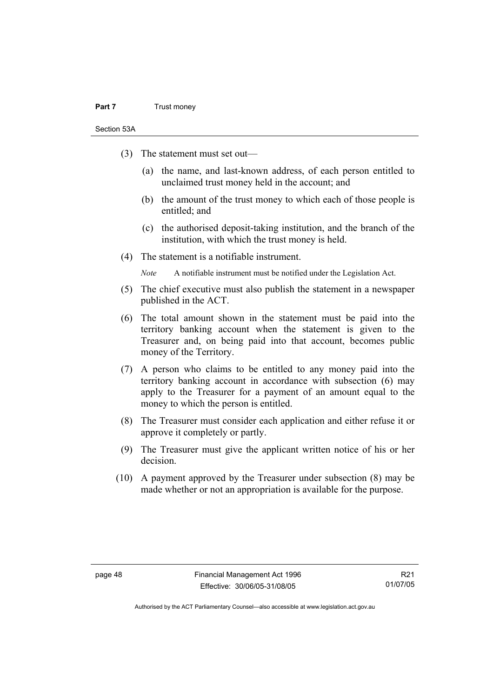#### **Part 7** Trust money

Section 53A

- (3) The statement must set out—
	- (a) the name, and last-known address, of each person entitled to unclaimed trust money held in the account; and
	- (b) the amount of the trust money to which each of those people is entitled; and
	- (c) the authorised deposit-taking institution, and the branch of the institution, with which the trust money is held.
- (4) The statement is a notifiable instrument.

*Note* A notifiable instrument must be notified under the Legislation Act.

- (5) The chief executive must also publish the statement in a newspaper published in the ACT.
- (6) The total amount shown in the statement must be paid into the territory banking account when the statement is given to the Treasurer and, on being paid into that account, becomes public money of the Territory.
- (7) A person who claims to be entitled to any money paid into the territory banking account in accordance with subsection (6) may apply to the Treasurer for a payment of an amount equal to the money to which the person is entitled.
- (8) The Treasurer must consider each application and either refuse it or approve it completely or partly.
- (9) The Treasurer must give the applicant written notice of his or her decision.
- (10) A payment approved by the Treasurer under subsection (8) may be made whether or not an appropriation is available for the purpose.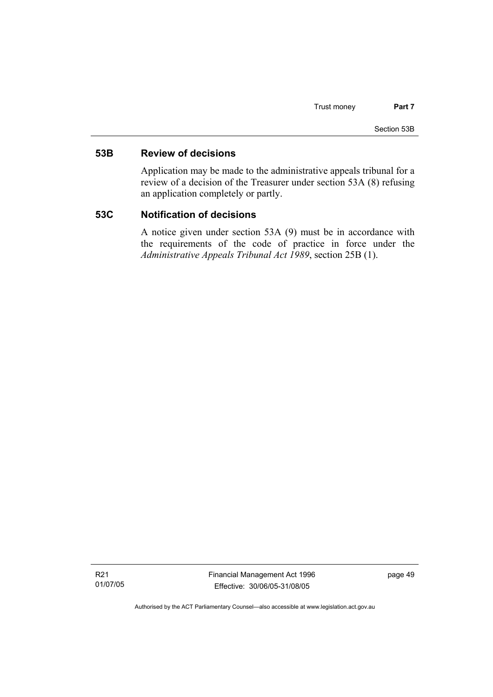#### **53B Review of decisions**

Application may be made to the administrative appeals tribunal for a review of a decision of the Treasurer under section 53A (8) refusing an application completely or partly.

#### **53C Notification of decisions**

A notice given under section 53A (9) must be in accordance with the requirements of the code of practice in force under the *Administrative Appeals Tribunal Act 1989*, section 25B (1).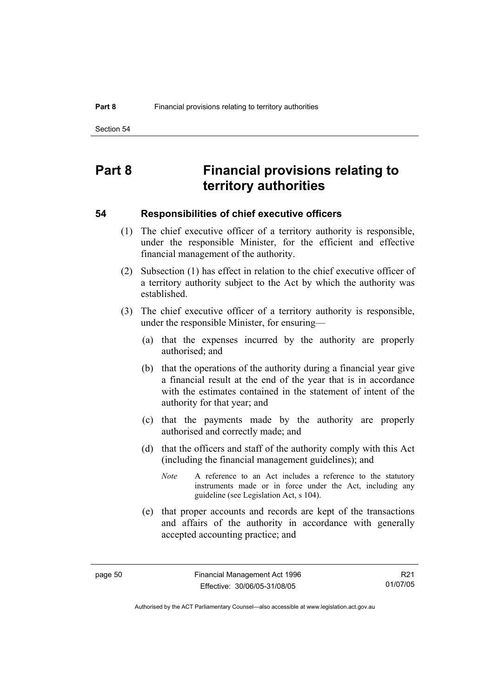# **Part 8 Financial provisions relating to territory authorities**

#### **54 Responsibilities of chief executive officers**

- (1) The chief executive officer of a territory authority is responsible, under the responsible Minister, for the efficient and effective financial management of the authority.
- (2) Subsection (1) has effect in relation to the chief executive officer of a territory authority subject to the Act by which the authority was established.
- (3) The chief executive officer of a territory authority is responsible, under the responsible Minister, for ensuring—
	- (a) that the expenses incurred by the authority are properly authorised; and
	- (b) that the operations of the authority during a financial year give a financial result at the end of the year that is in accordance with the estimates contained in the statement of intent of the authority for that year; and
	- (c) that the payments made by the authority are properly authorised and correctly made; and
	- (d) that the officers and staff of the authority comply with this Act (including the financial management guidelines); and
		- *Note* A reference to an Act includes a reference to the statutory instruments made or in force under the Act, including any guideline (see Legislation Act, s 104).
	- (e) that proper accounts and records are kept of the transactions and affairs of the authority in accordance with generally accepted accounting practice; and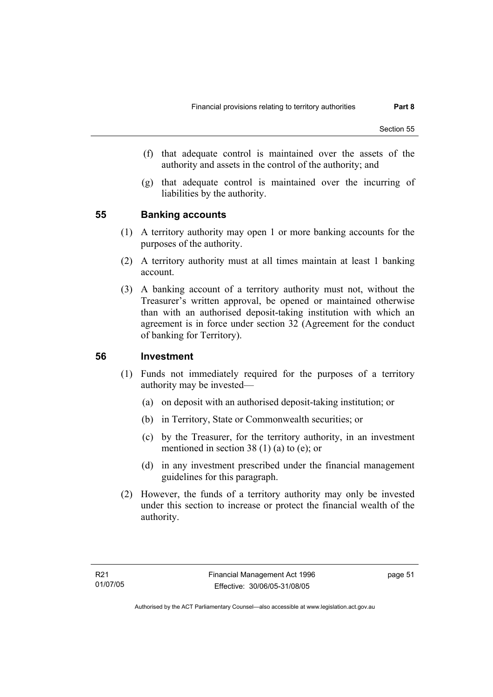- (f) that adequate control is maintained over the assets of the authority and assets in the control of the authority; and
- (g) that adequate control is maintained over the incurring of liabilities by the authority.

#### **55 Banking accounts**

- (1) A territory authority may open 1 or more banking accounts for the purposes of the authority.
- (2) A territory authority must at all times maintain at least 1 banking account.
- (3) A banking account of a territory authority must not, without the Treasurer's written approval, be opened or maintained otherwise than with an authorised deposit-taking institution with which an agreement is in force under section 32 (Agreement for the conduct of banking for Territory).

#### **56 Investment**

- (1) Funds not immediately required for the purposes of a territory authority may be invested—
	- (a) on deposit with an authorised deposit-taking institution; or
	- (b) in Territory, State or Commonwealth securities; or
	- (c) by the Treasurer, for the territory authority, in an investment mentioned in section 38 (1) (a) to (e); or
	- (d) in any investment prescribed under the financial management guidelines for this paragraph.
- (2) However, the funds of a territory authority may only be invested under this section to increase or protect the financial wealth of the authority.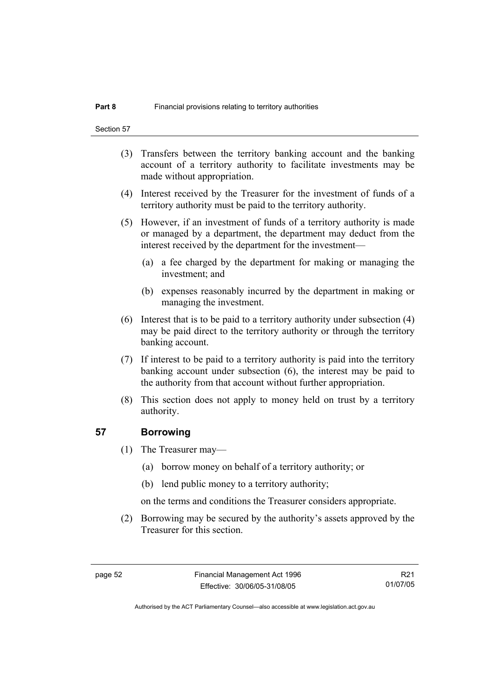- (3) Transfers between the territory banking account and the banking account of a territory authority to facilitate investments may be made without appropriation.
- (4) Interest received by the Treasurer for the investment of funds of a territory authority must be paid to the territory authority.
- (5) However, if an investment of funds of a territory authority is made or managed by a department, the department may deduct from the interest received by the department for the investment—
	- (a) a fee charged by the department for making or managing the investment; and
	- (b) expenses reasonably incurred by the department in making or managing the investment.
- (6) Interest that is to be paid to a territory authority under subsection (4) may be paid direct to the territory authority or through the territory banking account.
- (7) If interest to be paid to a territory authority is paid into the territory banking account under subsection (6), the interest may be paid to the authority from that account without further appropriation.
- (8) This section does not apply to money held on trust by a territory authority.

#### **57 Borrowing**

- (1) The Treasurer may—
	- (a) borrow money on behalf of a territory authority; or
	- (b) lend public money to a territory authority;

on the terms and conditions the Treasurer considers appropriate.

 (2) Borrowing may be secured by the authority's assets approved by the Treasurer for this section.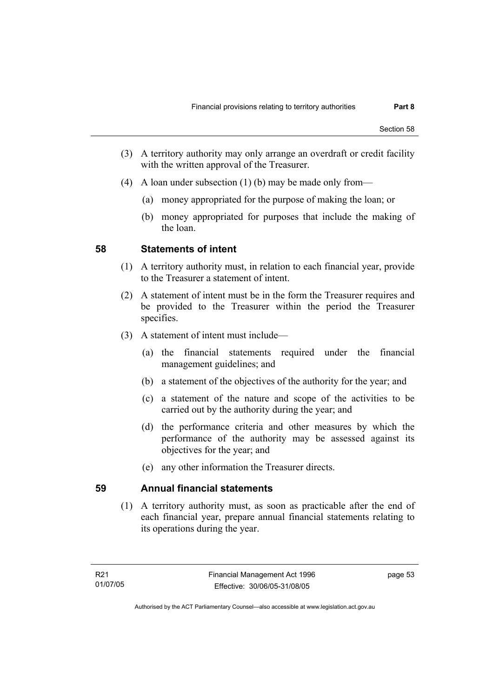- (3) A territory authority may only arrange an overdraft or credit facility with the written approval of the Treasurer.
- (4) A loan under subsection (1) (b) may be made only from—
	- (a) money appropriated for the purpose of making the loan; or
	- (b) money appropriated for purposes that include the making of the loan.

#### **58 Statements of intent**

- (1) A territory authority must, in relation to each financial year, provide to the Treasurer a statement of intent.
- (2) A statement of intent must be in the form the Treasurer requires and be provided to the Treasurer within the period the Treasurer specifies.
- (3) A statement of intent must include—
	- (a) the financial statements required under the financial management guidelines; and
	- (b) a statement of the objectives of the authority for the year; and
	- (c) a statement of the nature and scope of the activities to be carried out by the authority during the year; and
	- (d) the performance criteria and other measures by which the performance of the authority may be assessed against its objectives for the year; and
	- (e) any other information the Treasurer directs.

## **59 Annual financial statements**

 (1) A territory authority must, as soon as practicable after the end of each financial year, prepare annual financial statements relating to its operations during the year.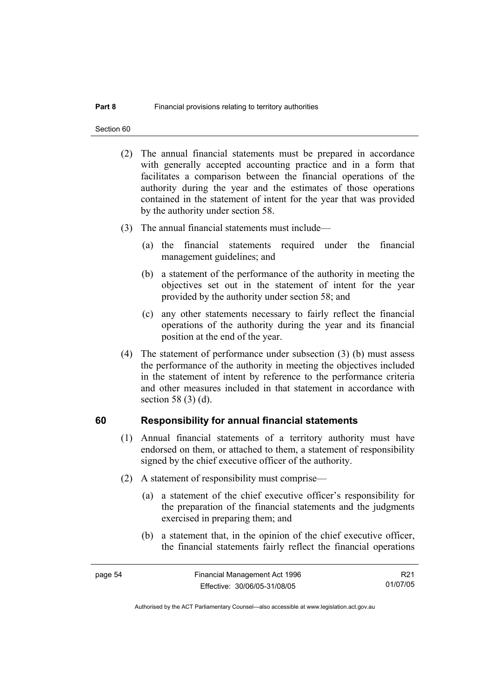Section 60

- (2) The annual financial statements must be prepared in accordance with generally accepted accounting practice and in a form that facilitates a comparison between the financial operations of the authority during the year and the estimates of those operations contained in the statement of intent for the year that was provided by the authority under section 58.
- (3) The annual financial statements must include—
	- (a) the financial statements required under the financial management guidelines; and
	- (b) a statement of the performance of the authority in meeting the objectives set out in the statement of intent for the year provided by the authority under section 58; and
	- (c) any other statements necessary to fairly reflect the financial operations of the authority during the year and its financial position at the end of the year.
- (4) The statement of performance under subsection (3) (b) must assess the performance of the authority in meeting the objectives included in the statement of intent by reference to the performance criteria and other measures included in that statement in accordance with section 58 (3) (d).

#### **60 Responsibility for annual financial statements**

- (1) Annual financial statements of a territory authority must have endorsed on them, or attached to them, a statement of responsibility signed by the chief executive officer of the authority.
- (2) A statement of responsibility must comprise—
	- (a) a statement of the chief executive officer's responsibility for the preparation of the financial statements and the judgments exercised in preparing them; and
	- (b) a statement that, in the opinion of the chief executive officer, the financial statements fairly reflect the financial operations

R21 01/07/05

Authorised by the ACT Parliamentary Counsel—also accessible at www.legislation.act.gov.au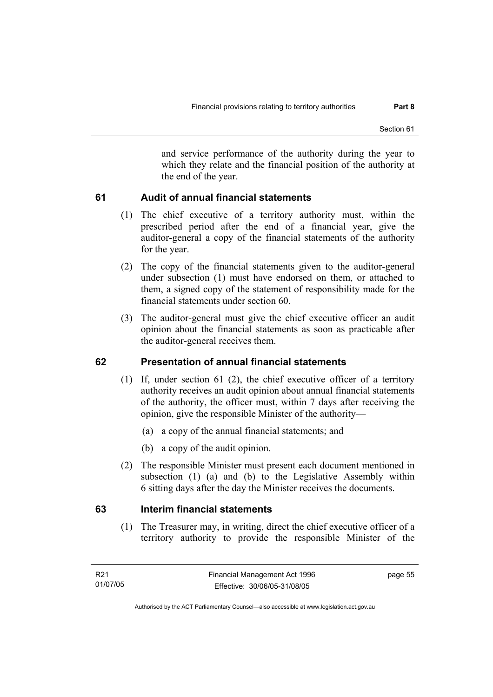and service performance of the authority during the year to which they relate and the financial position of the authority at the end of the year.

## **61 Audit of annual financial statements**

- (1) The chief executive of a territory authority must, within the prescribed period after the end of a financial year, give the auditor-general a copy of the financial statements of the authority for the year.
- (2) The copy of the financial statements given to the auditor-general under subsection (1) must have endorsed on them, or attached to them, a signed copy of the statement of responsibility made for the financial statements under section 60.
- (3) The auditor-general must give the chief executive officer an audit opinion about the financial statements as soon as practicable after the auditor-general receives them.

## **62 Presentation of annual financial statements**

- (1) If, under section 61 (2), the chief executive officer of a territory authority receives an audit opinion about annual financial statements of the authority, the officer must, within 7 days after receiving the opinion, give the responsible Minister of the authority—
	- (a) a copy of the annual financial statements; and
	- (b) a copy of the audit opinion.
- (2) The responsible Minister must present each document mentioned in subsection (1) (a) and (b) to the Legislative Assembly within 6 sitting days after the day the Minister receives the documents.

## **63 Interim financial statements**

 (1) The Treasurer may, in writing, direct the chief executive officer of a territory authority to provide the responsible Minister of the

page 55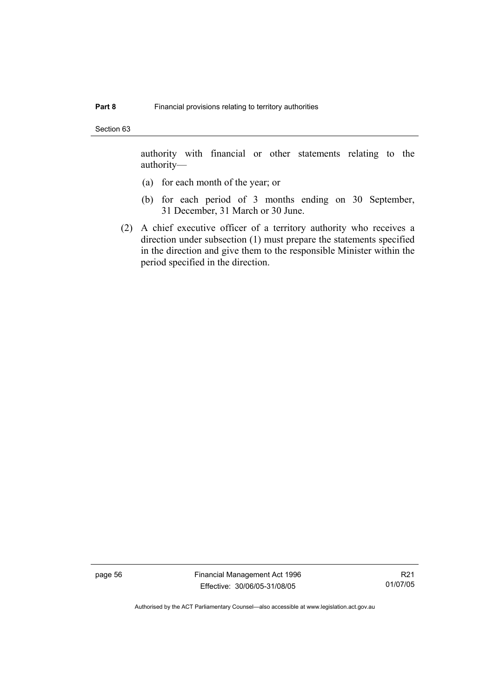Section 63

authority with financial or other statements relating to the authority—

- (a) for each month of the year; or
- (b) for each period of 3 months ending on 30 September, 31 December, 31 March or 30 June.
- (2) A chief executive officer of a territory authority who receives a direction under subsection (1) must prepare the statements specified in the direction and give them to the responsible Minister within the period specified in the direction.

page 56 Financial Management Act 1996 Effective: 30/06/05-31/08/05

R21 01/07/05

Authorised by the ACT Parliamentary Counsel—also accessible at www.legislation.act.gov.au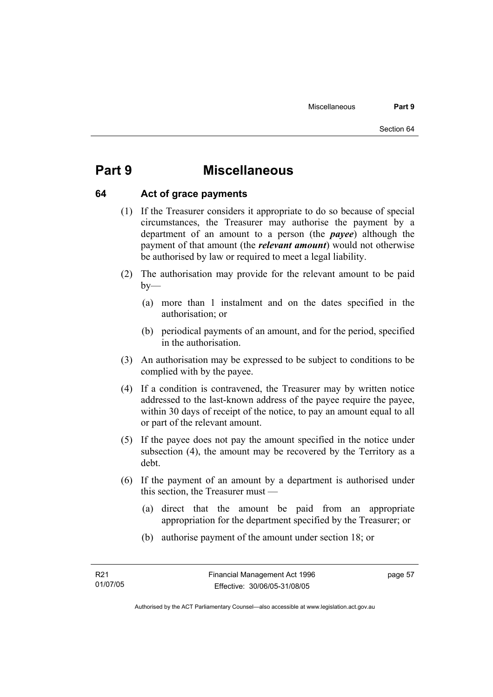# **Part 9 Miscellaneous**

#### **64 Act of grace payments**

- (1) If the Treasurer considers it appropriate to do so because of special circumstances, the Treasurer may authorise the payment by a department of an amount to a person (the *payee*) although the payment of that amount (the *relevant amount*) would not otherwise be authorised by law or required to meet a legal liability.
- (2) The authorisation may provide for the relevant amount to be paid  $by-$ 
	- (a) more than 1 instalment and on the dates specified in the authorisation; or
	- (b) periodical payments of an amount, and for the period, specified in the authorisation.
- (3) An authorisation may be expressed to be subject to conditions to be complied with by the payee.
- (4) If a condition is contravened, the Treasurer may by written notice addressed to the last-known address of the payee require the payee, within 30 days of receipt of the notice, to pay an amount equal to all or part of the relevant amount.
- (5) If the payee does not pay the amount specified in the notice under subsection (4), the amount may be recovered by the Territory as a debt.
- (6) If the payment of an amount by a department is authorised under this section, the Treasurer must —
	- (a) direct that the amount be paid from an appropriate appropriation for the department specified by the Treasurer; or
	- (b) authorise payment of the amount under section 18; or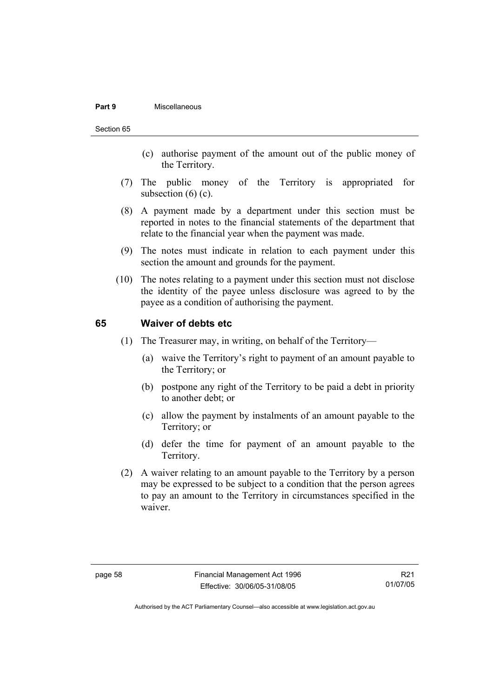#### **Part 9** Miscellaneous

#### Section 65

- (c) authorise payment of the amount out of the public money of the Territory.
- (7) The public money of the Territory is appropriated for subsection  $(6)$   $(c)$ .
- (8) A payment made by a department under this section must be reported in notes to the financial statements of the department that relate to the financial year when the payment was made.
- (9) The notes must indicate in relation to each payment under this section the amount and grounds for the payment.
- (10) The notes relating to a payment under this section must not disclose the identity of the payee unless disclosure was agreed to by the payee as a condition of authorising the payment.

#### **65 Waiver of debts etc**

- (1) The Treasurer may, in writing, on behalf of the Territory—
	- (a) waive the Territory's right to payment of an amount payable to the Territory; or
	- (b) postpone any right of the Territory to be paid a debt in priority to another debt; or
	- (c) allow the payment by instalments of an amount payable to the Territory; or
	- (d) defer the time for payment of an amount payable to the Territory.
- (2) A waiver relating to an amount payable to the Territory by a person may be expressed to be subject to a condition that the person agrees to pay an amount to the Territory in circumstances specified in the waiver.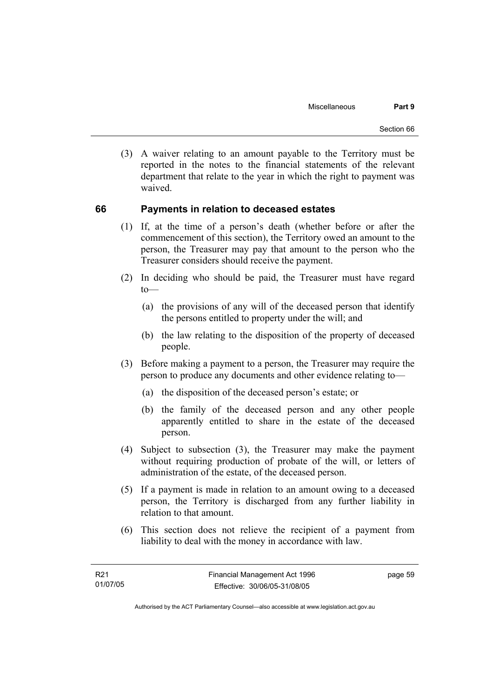(3) A waiver relating to an amount payable to the Territory must be reported in the notes to the financial statements of the relevant department that relate to the year in which the right to payment was waived.

#### **66 Payments in relation to deceased estates**

- (1) If, at the time of a person's death (whether before or after the commencement of this section), the Territory owed an amount to the person, the Treasurer may pay that amount to the person who the Treasurer considers should receive the payment.
- (2) In deciding who should be paid, the Treasurer must have regard  $to$ —
	- (a) the provisions of any will of the deceased person that identify the persons entitled to property under the will; and
	- (b) the law relating to the disposition of the property of deceased people.
- (3) Before making a payment to a person, the Treasurer may require the person to produce any documents and other evidence relating to—
	- (a) the disposition of the deceased person's estate; or
	- (b) the family of the deceased person and any other people apparently entitled to share in the estate of the deceased person.
- (4) Subject to subsection (3), the Treasurer may make the payment without requiring production of probate of the will, or letters of administration of the estate, of the deceased person.
- (5) If a payment is made in relation to an amount owing to a deceased person, the Territory is discharged from any further liability in relation to that amount.
- (6) This section does not relieve the recipient of a payment from liability to deal with the money in accordance with law.

page 59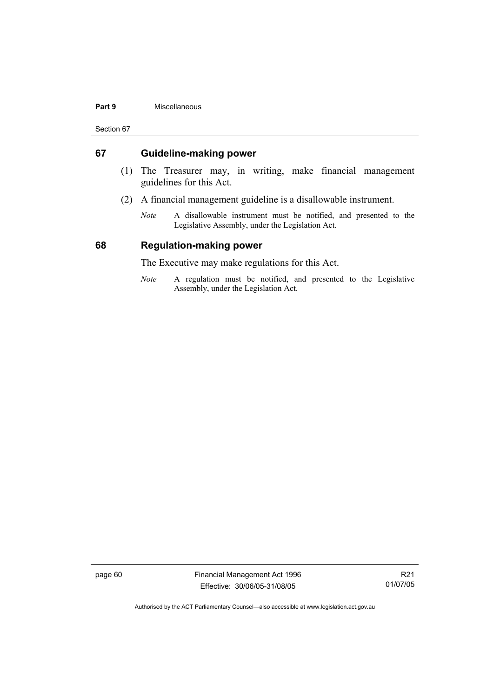#### **Part 9** Miscellaneous

Section 67

#### **67 Guideline-making power**

- (1) The Treasurer may, in writing, make financial management guidelines for this Act.
- (2) A financial management guideline is a disallowable instrument.
	- *Note* A disallowable instrument must be notified, and presented to the Legislative Assembly, under the Legislation Act.

#### **68 Regulation-making power**

The Executive may make regulations for this Act.

*Note* A regulation must be notified, and presented to the Legislative Assembly, under the Legislation Act.

page 60 Financial Management Act 1996 Effective: 30/06/05-31/08/05

R21 01/07/05

Authorised by the ACT Parliamentary Counsel—also accessible at www.legislation.act.gov.au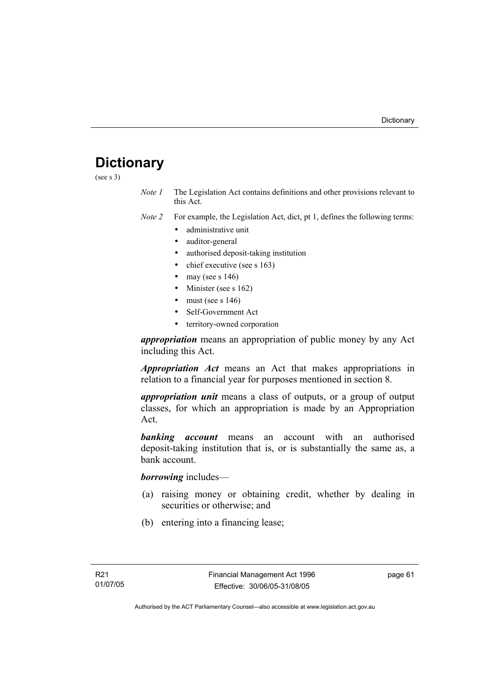# **Dictionary**

(see s 3)

*Note 1* The Legislation Act contains definitions and other provisions relevant to this Act.

*Note 2* For example, the Legislation Act, dict, pt 1, defines the following terms:

- administrative unit
- auditor-general
- authorised deposit-taking institution
- chief executive (see s 163)
- may (see s  $146$ )
- Minister (see s 162)
- must (see s  $146$ )
- Self-Government Act
- territory-owned corporation

*appropriation* means an appropriation of public money by any Act including this Act.

*Appropriation Act* means an Act that makes appropriations in relation to a financial year for purposes mentioned in section 8.

*appropriation unit* means a class of outputs, or a group of output classes, for which an appropriation is made by an Appropriation Act.

*banking account* means an account with an authorised deposit-taking institution that is, or is substantially the same as, a bank account.

*borrowing* includes—

- (a) raising money or obtaining credit, whether by dealing in securities or otherwise; and
- (b) entering into a financing lease;

page 61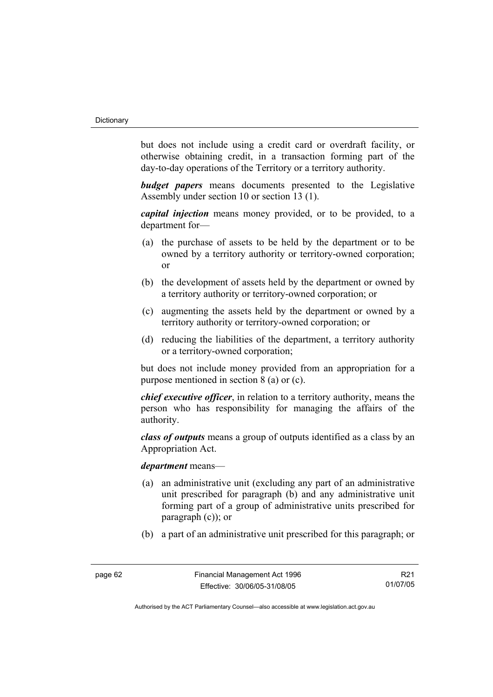but does not include using a credit card or overdraft facility, or otherwise obtaining credit, in a transaction forming part of the day-to-day operations of the Territory or a territory authority.

*budget papers* means documents presented to the Legislative Assembly under section 10 or section 13 (1).

*capital injection* means money provided, or to be provided, to a department for—

- (a) the purchase of assets to be held by the department or to be owned by a territory authority or territory-owned corporation; or
- (b) the development of assets held by the department or owned by a territory authority or territory-owned corporation; or
- (c) augmenting the assets held by the department or owned by a territory authority or territory-owned corporation; or
- (d) reducing the liabilities of the department, a territory authority or a territory-owned corporation;

but does not include money provided from an appropriation for a purpose mentioned in section 8 (a) or (c).

*chief executive officer*, in relation to a territory authority, means the person who has responsibility for managing the affairs of the authority.

*class of outputs* means a group of outputs identified as a class by an Appropriation Act.

#### *department* means—

- (a) an administrative unit (excluding any part of an administrative unit prescribed for paragraph (b) and any administrative unit forming part of a group of administrative units prescribed for paragraph (c)); or
- (b) a part of an administrative unit prescribed for this paragraph; or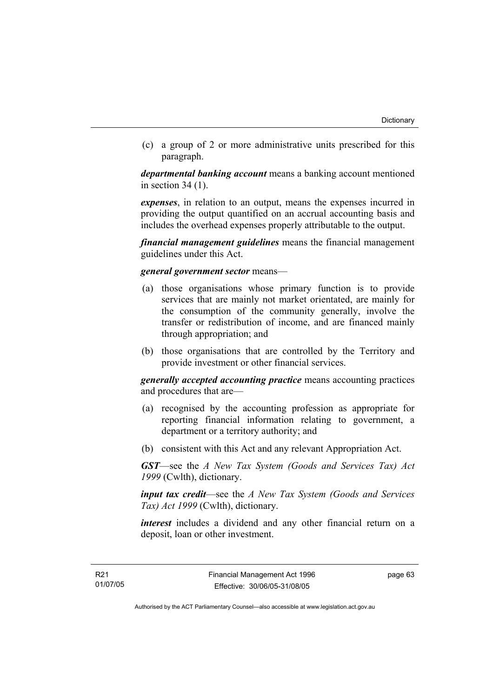(c) a group of 2 or more administrative units prescribed for this paragraph.

*departmental banking account* means a banking account mentioned in section 34 (1).

*expenses*, in relation to an output, means the expenses incurred in providing the output quantified on an accrual accounting basis and includes the overhead expenses properly attributable to the output.

*financial management guidelines* means the financial management guidelines under this Act.

#### *general government sector* means—

- (a) those organisations whose primary function is to provide services that are mainly not market orientated, are mainly for the consumption of the community generally, involve the transfer or redistribution of income, and are financed mainly through appropriation; and
- (b) those organisations that are controlled by the Territory and provide investment or other financial services.

*generally accepted accounting practice* means accounting practices and procedures that are—

- (a) recognised by the accounting profession as appropriate for reporting financial information relating to government, a department or a territory authority; and
- (b) consistent with this Act and any relevant Appropriation Act.

*GST*—see the *A New Tax System (Goods and Services Tax) Act 1999* (Cwlth), dictionary.

*input tax credit*—see the *A New Tax System (Goods and Services Tax) Act 1999* (Cwlth), dictionary.

*interest* includes a dividend and any other financial return on a deposit, loan or other investment.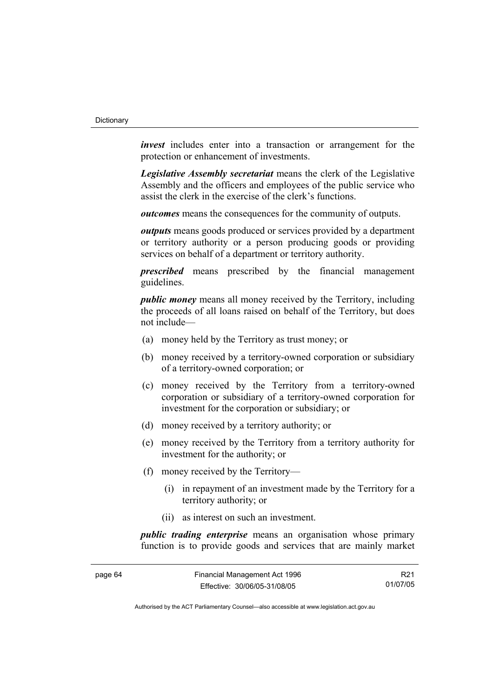*invest* includes enter into a transaction or arrangement for the protection or enhancement of investments.

*Legislative Assembly secretariat* means the clerk of the Legislative Assembly and the officers and employees of the public service who assist the clerk in the exercise of the clerk's functions.

*outcomes* means the consequences for the community of outputs.

*outputs* means goods produced or services provided by a department or territory authority or a person producing goods or providing services on behalf of a department or territory authority.

*prescribed* means prescribed by the financial management guidelines.

*public money* means all money received by the Territory, including the proceeds of all loans raised on behalf of the Territory, but does not include—

- (a) money held by the Territory as trust money; or
- (b) money received by a territory-owned corporation or subsidiary of a territory-owned corporation; or
- (c) money received by the Territory from a territory-owned corporation or subsidiary of a territory-owned corporation for investment for the corporation or subsidiary; or
- (d) money received by a territory authority; or
- (e) money received by the Territory from a territory authority for investment for the authority; or
- (f) money received by the Territory—
	- (i) in repayment of an investment made by the Territory for a territory authority; or
	- (ii) as interest on such an investment.

*public trading enterprise* means an organisation whose primary function is to provide goods and services that are mainly market

| page 64 | Financial Management Act 1996 | R21      |
|---------|-------------------------------|----------|
|         | Effective: 30/06/05-31/08/05  | 01/07/05 |

Authorised by the ACT Parliamentary Counsel—also accessible at www.legislation.act.gov.au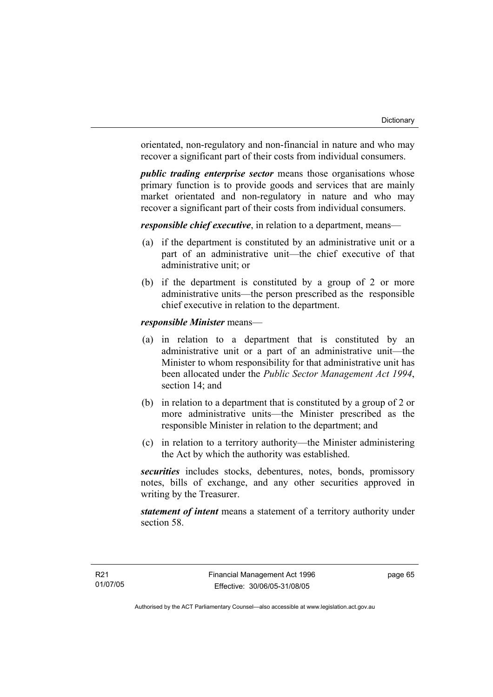orientated, non-regulatory and non-financial in nature and who may recover a significant part of their costs from individual consumers.

*public trading enterprise sector* means those organisations whose primary function is to provide goods and services that are mainly market orientated and non-regulatory in nature and who may recover a significant part of their costs from individual consumers.

*responsible chief executive*, in relation to a department, means—

- (a) if the department is constituted by an administrative unit or a part of an administrative unit—the chief executive of that administrative unit; or
- (b) if the department is constituted by a group of 2 or more administrative units—the person prescribed as the responsible chief executive in relation to the department.

### *responsible Minister* means—

- (a) in relation to a department that is constituted by an administrative unit or a part of an administrative unit—the Minister to whom responsibility for that administrative unit has been allocated under the *Public Sector Management Act 1994*, section 14; and
- (b) in relation to a department that is constituted by a group of 2 or more administrative units—the Minister prescribed as the responsible Minister in relation to the department; and
- (c) in relation to a territory authority—the Minister administering the Act by which the authority was established.

*securities* includes stocks, debentures, notes, bonds, promissory notes, bills of exchange, and any other securities approved in writing by the Treasurer.

*statement of intent* means a statement of a territory authority under section 58.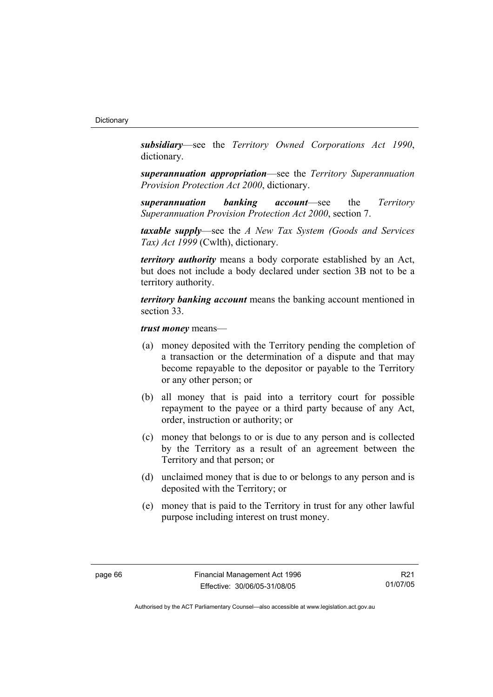*subsidiary*—see the *Territory Owned Corporations Act 1990*, dictionary.

*superannuation appropriation*—see the *Territory Superannuation Provision Protection Act 2000*, dictionary.

*superannuation banking account*—see the *Territory Superannuation Provision Protection Act 2000*, section 7.

*taxable supply*—see the *A New Tax System (Goods and Services Tax) Act 1999* (Cwlth), dictionary.

*territory authority* means a body corporate established by an Act, but does not include a body declared under section 3B not to be a territory authority.

*territory banking account* means the banking account mentioned in section 33.

*trust money* means—

- (a) money deposited with the Territory pending the completion of a transaction or the determination of a dispute and that may become repayable to the depositor or payable to the Territory or any other person; or
- (b) all money that is paid into a territory court for possible repayment to the payee or a third party because of any Act, order, instruction or authority; or
- (c) money that belongs to or is due to any person and is collected by the Territory as a result of an agreement between the Territory and that person; or
- (d) unclaimed money that is due to or belongs to any person and is deposited with the Territory; or
- (e) money that is paid to the Territory in trust for any other lawful purpose including interest on trust money.

R21 01/07/05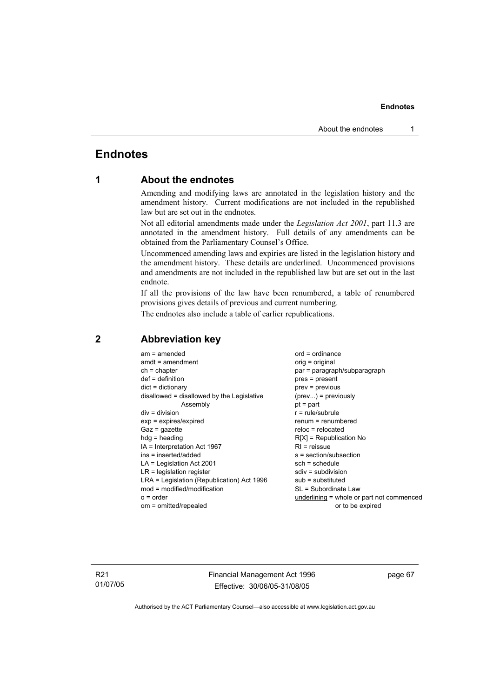# **Endnotes**

# **1 About the endnotes**

Amending and modifying laws are annotated in the legislation history and the amendment history. Current modifications are not included in the republished law but are set out in the endnotes.

Not all editorial amendments made under the *Legislation Act 2001*, part 11.3 are annotated in the amendment history. Full details of any amendments can be obtained from the Parliamentary Counsel's Office.

Uncommenced amending laws and expiries are listed in the legislation history and the amendment history. These details are underlined. Uncommenced provisions and amendments are not included in the republished law but are set out in the last endnote.

If all the provisions of the law have been renumbered, a table of renumbered provisions gives details of previous and current numbering.

The endnotes also include a table of earlier republications.

| $am = amended$                             | $ord = ordinance$                         |
|--------------------------------------------|-------------------------------------------|
| $amdt = amendment$                         | orig = original                           |
| $ch = chapter$                             | par = paragraph/subparagraph              |
| $def = definition$                         | $pres = present$                          |
| $dict = dictionary$                        | $prev = previous$                         |
| disallowed = disallowed by the Legislative | $(\text{prev}) = \text{previously}$       |
| Assembly                                   | $pt = part$                               |
| $div = division$                           | $r = rule/subrule$                        |
| $exp = expires/expired$                    | $renum = renumbered$                      |
| $Gaz = gazette$                            | $reloc = relocated$                       |
| $hda =$ heading                            | $R[X]$ = Republication No                 |
| IA = Interpretation Act 1967               | $RI =$ reissue                            |
| ins = inserted/added                       | $s = section/subsection$                  |
| $LA =$ Legislation Act 2001                | $sch = schedule$                          |
| $LR =$ legislation register                | $sdiv = subdivision$                      |
| LRA = Legislation (Republication) Act 1996 | $sub =$ substituted                       |
| $mod = modified/modification$              | SL = Subordinate Law                      |
| $o = order$                                | underlining = whole or part not commenced |
| om = omitted/repealed                      | or to be expired                          |
|                                            |                                           |

# **2 Abbreviation key**

R21 01/07/05 Financial Management Act 1996 Effective: 30/06/05-31/08/05

page 67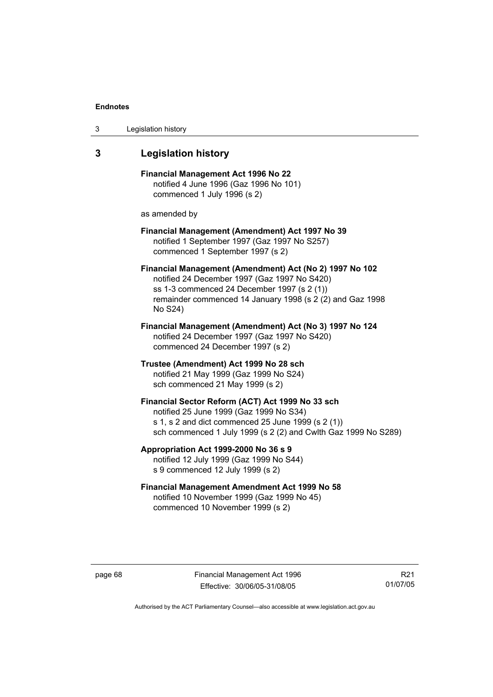| 3 | Legislation history |  |
|---|---------------------|--|
|---|---------------------|--|

# **3 Legislation history**

**Financial Management Act 1996 No 22**  notified 4 June 1996 (Gaz 1996 No 101) commenced 1 July 1996 (s 2)

as amended by

### **Financial Management (Amendment) Act 1997 No 39**  notified 1 September 1997 (Gaz 1997 No S257) commenced 1 September 1997 (s 2)

**Financial Management (Amendment) Act (No 2) 1997 No 102**  notified 24 December 1997 (Gaz 1997 No S420) ss 1-3 commenced 24 December 1997 (s 2 (1)) remainder commenced 14 January 1998 (s 2 (2) and Gaz 1998 No S24)

**Financial Management (Amendment) Act (No 3) 1997 No 124**  notified 24 December 1997 (Gaz 1997 No S420) commenced 24 December 1997 (s 2)

**Trustee (Amendment) Act 1999 No 28 sch**  notified 21 May 1999 (Gaz 1999 No S24) sch commenced 21 May 1999 (s 2)

### **Financial Sector Reform (ACT) Act 1999 No 33 sch**  notified 25 June 1999 (Gaz 1999 No S34) s 1, s 2 and dict commenced 25 June 1999 (s 2 (1)) sch commenced 1 July 1999 (s 2 (2) and Cwlth Gaz 1999 No S289)

**Appropriation Act 1999-2000 No 36 s 9**  notified 12 July 1999 (Gaz 1999 No S44)

s 9 commenced 12 July 1999 (s 2)

### **Financial Management Amendment Act 1999 No 58**  notified 10 November 1999 (Gaz 1999 No 45) commenced 10 November 1999 (s 2)

page 68 Financial Management Act 1996 Effective: 30/06/05-31/08/05

R21 01/07/05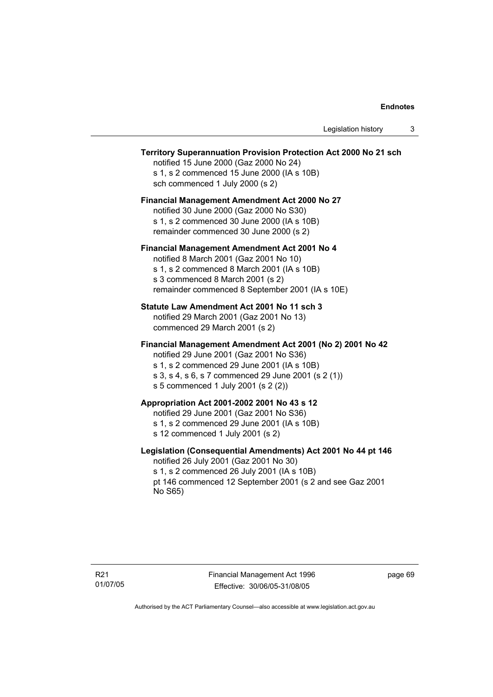### **Territory Superannuation Provision Protection Act 2000 No 21 sch**

notified 15 June 2000 (Gaz 2000 No 24) s 1, s 2 commenced 15 June 2000 (IA s 10B) sch commenced 1 July 2000 (s 2)

### **Financial Management Amendment Act 2000 No 27**

notified 30 June 2000 (Gaz 2000 No S30) s 1, s 2 commenced 30 June 2000 (IA s 10B) remainder commenced 30 June 2000 (s 2)

### **Financial Management Amendment Act 2001 No 4**

notified 8 March 2001 (Gaz 2001 No 10) s 1, s 2 commenced 8 March 2001 (IA s 10B) s 3 commenced 8 March 2001 (s 2) remainder commenced 8 September 2001 (IA s 10E)

### **Statute Law Amendment Act 2001 No 11 sch 3**

notified 29 March 2001 (Gaz 2001 No 13) commenced 29 March 2001 (s 2)

### **Financial Management Amendment Act 2001 (No 2) 2001 No 42**

notified 29 June 2001 (Gaz 2001 No S36)

- s 1, s 2 commenced 29 June 2001 (IA s 10B)
- s 3, s 4, s 6, s 7 commenced 29 June 2001 (s 2 (1))
- s 5 commenced 1 July 2001 (s 2 (2))

# **Appropriation Act 2001-2002 2001 No 43 s 12**

notified 29 June 2001 (Gaz 2001 No S36)

- s 1, s 2 commenced 29 June 2001 (IA s 10B)
- s 12 commenced 1 July 2001 (s 2)

### **Legislation (Consequential Amendments) Act 2001 No 44 pt 146**

notified 26 July 2001 (Gaz 2001 No 30) s 1, s 2 commenced 26 July 2001 (IA s 10B) pt 146 commenced 12 September 2001 (s 2 and see Gaz 2001 No S65)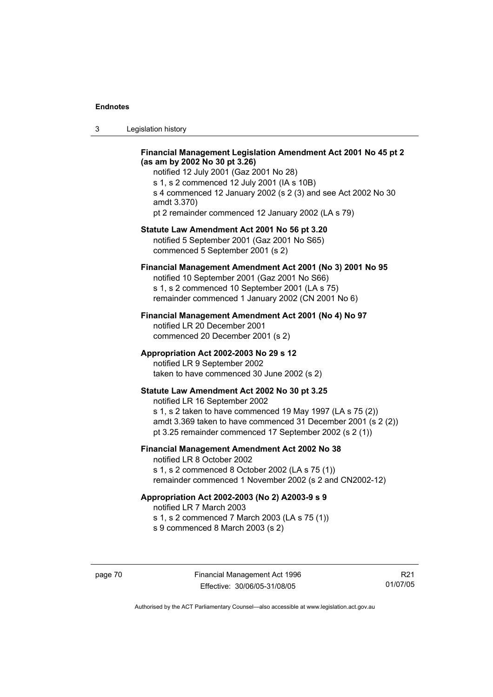| ు | Legislation history |  |
|---|---------------------|--|
|---|---------------------|--|

### **Financial Management Legislation Amendment Act 2001 No 45 pt 2 (as am by 2002 No 30 pt 3.26)**

notified 12 July 2001 (Gaz 2001 No 28) s 1, s 2 commenced 12 July 2001 (IA s 10B) s 4 commenced 12 January 2002 (s 2 (3) and see Act 2002 No 30 amdt 3.370) pt 2 remainder commenced 12 January 2002 (LA s 79)

### **Statute Law Amendment Act 2001 No 56 pt 3.20**

notified 5 September 2001 (Gaz 2001 No S65) commenced 5 September 2001 (s 2)

## **Financial Management Amendment Act 2001 (No 3) 2001 No 95**

notified 10 September 2001 (Gaz 2001 No S66) s 1, s 2 commenced 10 September 2001 (LA s 75) remainder commenced 1 January 2002 (CN 2001 No 6)

### **Financial Management Amendment Act 2001 (No 4) No 97**

notified LR 20 December 2001 commenced 20 December 2001 (s 2)

### **Appropriation Act 2002-2003 No 29 s 12**

notified LR 9 September 2002 taken to have commenced 30 June 2002 (s 2)

### **Statute Law Amendment Act 2002 No 30 pt 3.25**

notified LR 16 September 2002 s 1, s 2 taken to have commenced 19 May 1997 (LA s 75 (2)) amdt 3.369 taken to have commenced 31 December 2001 (s 2 (2)) pt 3.25 remainder commenced 17 September 2002 (s 2 (1))

# **Financial Management Amendment Act 2002 No 38**

notified LR 8 October 2002 s 1, s 2 commenced 8 October 2002 (LA s 75 (1)) remainder commenced 1 November 2002 (s 2 and CN2002-12)

#### **Appropriation Act 2002-2003 (No 2) A2003-9 s 9**

notified LR 7 March 2003

s 1, s 2 commenced 7 March 2003 (LA s 75 (1))

s 9 commenced 8 March 2003 (s 2)

R21 01/07/05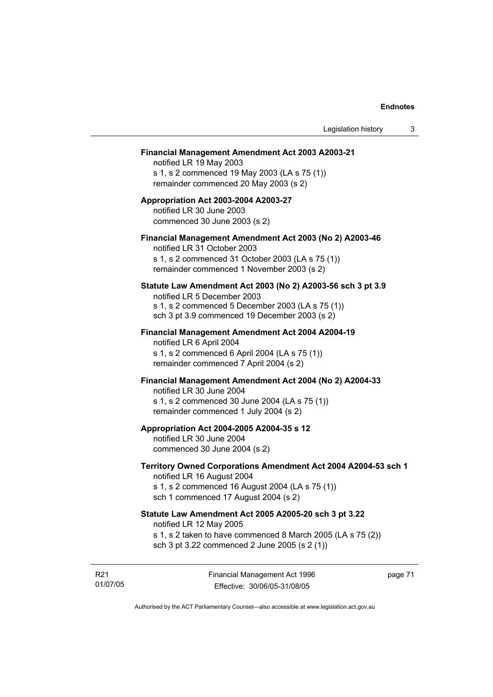#### **Financial Management Amendment Act 2003 A2003-21**

notified LR 19 May 2003 s 1, s 2 commenced 19 May 2003 (LA s 75 (1)) remainder commenced 20 May 2003 (s 2)

### **Appropriation Act 2003-2004 A2003-27**  notified LR 30 June 2003 commenced 30 June 2003 (s 2)

### **Financial Management Amendment Act 2003 (No 2) A2003-46**

notified LR 31 October 2003 s 1, s 2 commenced 31 October 2003 (LA s 75 (1)) remainder commenced 1 November 2003 (s 2)

### **Statute Law Amendment Act 2003 (No 2) A2003-56 sch 3 pt 3.9**

notified LR 5 December 2003 s 1, s 2 commenced 5 December 2003 (LA s 75 (1)) sch 3 pt 3.9 commenced 19 December 2003 (s 2)

# **Financial Management Amendment Act 2004 A2004-19**  notified LR 6 April 2004

s 1, s 2 commenced 6 April 2004 (LA s 75 (1)) remainder commenced 7 April 2004 (s 2)

#### **Financial Management Amendment Act 2004 (No 2) A2004-33**

notified LR 30 June 2004 s 1, s 2 commenced 30 June 2004 (LA s 75 (1)) remainder commenced 1 July 2004 (s 2)

### **Appropriation Act 2004-2005 A2004-35 s 12**

notified LR 30 June 2004 commenced 30 June 2004 (s 2)

### **Territory Owned Corporations Amendment Act 2004 A2004-53 sch 1**  notified LR 16 August 2004

s 1, s 2 commenced 16 August 2004 (LA s 75 (1)) sch 1 commenced 17 August 2004 (s 2)

# **Statute Law Amendment Act 2005 A2005-20 sch 3 pt 3.22**

notified LR 12 May 2005

- s 1, s 2 taken to have commenced 8 March 2005 (LA s 75 (2))
- sch 3 pt 3.22 commenced 2 June 2005 (s 2 (1))

R21 01/07/05 page 71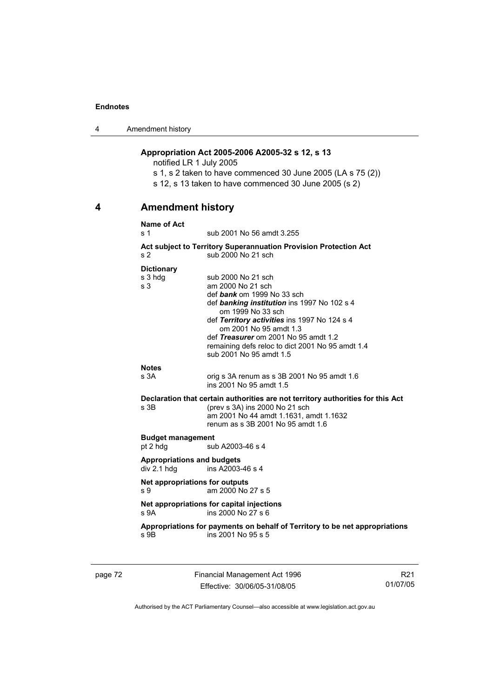4 Amendment history

# **Appropriation Act 2005-2006 A2005-32 s 12, s 13**

notified LR 1 July 2005

s 1, s 2 taken to have commenced 30 June 2005 (LA s 75 (2)) s 12, s 13 taken to have commenced 30 June 2005 (s 2)

# **4 Amendment history**

#### **Name of Act**

s 1 sub 2001 No 56 amdt 3.255

**Act subject to Territory Superannuation Provision Protection Act** s 2 sub 2000 No 21 sch

#### **Dictionary**

| s 3 hdg<br>s <sub>3</sub>                                                       | sub 2000 No 21 sch<br>am 2000 No 21 sch<br>def bank om 1999 No 33 sch<br>def banking institution ins 1997 No 102 s 4<br>om 1999 No 33 sch<br>def Territory activities ins 1997 No 124 s 4<br>om 2001 No 95 amdt 1.3<br>def Treasurer om 2001 No 95 amdt 1.2<br>remaining defs reloc to dict 2001 No 95 amdt 1.4<br>sub 2001 No 95 amdt 1.5 |  |
|---------------------------------------------------------------------------------|--------------------------------------------------------------------------------------------------------------------------------------------------------------------------------------------------------------------------------------------------------------------------------------------------------------------------------------------|--|
| <b>Notes</b>                                                                    |                                                                                                                                                                                                                                                                                                                                            |  |
| s 3A                                                                            | orig s 3A renum as s 3B 2001 No 95 amdt 1.6<br>ins 2001 No 95 amdt 1.5                                                                                                                                                                                                                                                                     |  |
| Declaration that certain authorities are not territory authorities for this Act |                                                                                                                                                                                                                                                                                                                                            |  |
| s 3B                                                                            | (prev s 3A) ins 2000 No 21 sch<br>am 2001 No 44 amdt 1.1631, amdt 1.1632<br>renum as s 3B 2001 No 95 amdt 1.6                                                                                                                                                                                                                              |  |
| <b>Budget management</b>                                                        |                                                                                                                                                                                                                                                                                                                                            |  |
| pt 2 hdg                                                                        | sub A2003-46 s 4                                                                                                                                                                                                                                                                                                                           |  |
| <b>Appropriations and budgets</b>                                               |                                                                                                                                                                                                                                                                                                                                            |  |
| div 2.1 h dq                                                                    | ins A2003-46 s 4                                                                                                                                                                                                                                                                                                                           |  |
| Net appropriations for outputs                                                  |                                                                                                                                                                                                                                                                                                                                            |  |
| s 9                                                                             | am 2000 No 27 s 5                                                                                                                                                                                                                                                                                                                          |  |
| s <sub>9A</sub>                                                                 | Net appropriations for capital injections<br>ins 2000 No 27 s 6                                                                                                                                                                                                                                                                            |  |
| s 9B                                                                            | Appropriations for payments on behalf of Territory to be net appropriations<br>ins 2001 No 95 s 5                                                                                                                                                                                                                                          |  |
|                                                                                 |                                                                                                                                                                                                                                                                                                                                            |  |

page 72 Financial Management Act 1996 Effective: 30/06/05-31/08/05

R21 01/07/05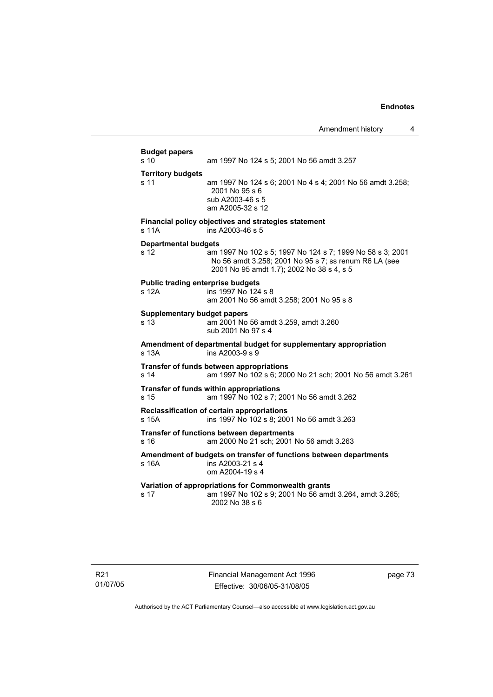Amendment history 4 **Budget papers**  s 10 am 1997 No 124 s 5; 2001 No 56 amdt 3.257 **Territory budgets**  s 11 am 1997 No 124 s 6; 2001 No 4 s 4; 2001 No 56 amdt 3.258; 2001 No 95 s 6 sub A2003-46 s 5 am A2005-32 s 12 **Financial policy objectives and strategies statement**  s 11A ins A2003-46 s 5 **Departmental budgets** s 12 am 1997 No 102 s 5; 1997 No 124 s 7; 1999 No 58 s 3; 2001 No 56 amdt 3.258; 2001 No 95 s 7; ss renum R6 LA (see 2001 No 95 amdt 1.7); 2002 No 38 s 4, s 5 **Public trading enterprise budgets** s 12A ins 1997 No 124 s 8 am 2001 No 56 amdt 3.258; 2001 No 95 s 8 **Supplementary budget papers**  s 13 am 2001 No 56 amdt 3.259, amdt 3.260 sub 2001 No 97 s 4 **Amendment of departmental budget for supplementary appropriation**  s 13A ins A2003-9 s 9 **Transfer of funds between appropriations** s 14 am 1997 No 102 s 6; 2000 No 21 sch; 2001 No 56 amdt 3.261 **Transfer of funds within appropriations** s 15 am 1997 No 102 s 7; 2001 No 56 amdt 3.262 **Reclassification of certain appropriations** s 15A ins 1997 No 102 s 8; 2001 No 56 amdt 3.263 **Transfer of functions between departments** s 16 am 2000 No 21 sch; 2001 No 56 amdt 3.263 **Amendment of budgets on transfer of functions between departments**  s 16A ins A2003-21 s 4 om A2004-19 s 4 **Variation of appropriations for Commonwealth grants** s 17 am 1997 No 102 s 9; 2001 No 56 amdt 3.264, amdt 3.265; 2002 No 38 s 6

page 73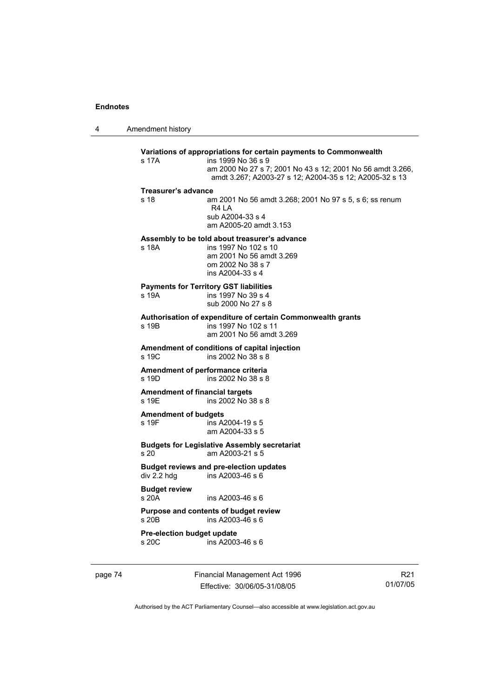4 Amendment history

| s 17A                                | ins 1999 No 36 s 9<br>am 2000 No 27 s 7; 2001 No 43 s 12; 2001 No 56 amdt 3.266,<br>amdt 3.267; A2003-27 s 12; A2004-35 s 12; A2005-32 s 13 |
|--------------------------------------|---------------------------------------------------------------------------------------------------------------------------------------------|
| <b>Treasurer's advance</b>           |                                                                                                                                             |
| s 18                                 | am 2001 No 56 amdt 3.268; 2001 No 97 s 5, s 6; ss renum<br>R4IA<br>sub A2004-33 s 4<br>am A2005-20 amdt 3.153                               |
| s 18A                                | Assembly to be told about treasurer's advance<br>ins 1997 No 102 s 10<br>am 2001 No 56 amdt 3.269<br>om 2002 No 38 s 7<br>ins A2004-33 s 4  |
| s 19A                                | <b>Payments for Territory GST liabilities</b><br>ins 1997 No 39 s 4<br>sub 2000 No 27 s 8                                                   |
| s 19B                                | Authorisation of expenditure of certain Commonwealth grants<br>ins 1997 No 102 s 11<br>am 2001 No 56 amdt 3.269                             |
| s 19C                                | Amendment of conditions of capital injection<br>ins 2002 No 38 s 8                                                                          |
| $s$ 19D                              | Amendment of performance criteria<br>ins 2002 No 38 s 8                                                                                     |
| s 19E                                | <b>Amendment of financial targets</b><br>ins 2002 No 38 s 8                                                                                 |
| <b>Amendment of budgets</b><br>s 19F | ins A2004-19 s 5<br>am A2004-33 s 5                                                                                                         |
| s <sub>20</sub>                      | <b>Budgets for Legislative Assembly secretariat</b><br>am A2003-21 s 5                                                                      |
| div 2.2 hdg                          | <b>Budget reviews and pre-election updates</b><br>ins A2003-46 s 6                                                                          |
| <b>Budget review</b><br>s20A         | ins A2003-46 s 6                                                                                                                            |
| $s$ 20 $B$                           | Purpose and contents of budget review<br>ins A2003-46 s 6                                                                                   |
| Pre-election budget update<br>s, 20C | ins $A2003-46$ s 6                                                                                                                          |

page 74 Financial Management Act 1996 Effective: 30/06/05-31/08/05

R21 01/07/05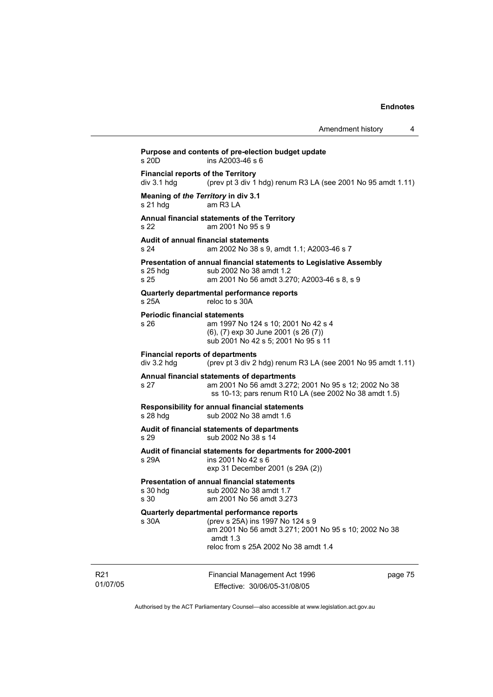| Amendment history |  |
|-------------------|--|
|-------------------|--|

Financial Management Act 1996 page 75 **Purpose and contents of pre-election budget update**  s 20D ins A2003-46 s 6 **Financial reports of the Territory**  div 3.1 hdg (prev pt 3 div 1 hdg) renum R3 LA (see 2001 No 95 amdt 1.11) **Meaning of** *the Territory* **in div 3.1** s 21 hdg am R3 LA am R3 LA **Annual financial statements of the Territory**  s 22 am 2001 No 95 s 9 **Audit of annual financial statements**  s 24 am 2002 No 38 s 9, amdt 1.1; A2003-46 s 7 **Presentation of annual financial statements to Legislative Assembly**  s 25 hdg sub 2002 No 38 amdt 1.2 s 25 am 2001 No 56 amdt 3.270; A2003-46 s 8, s 9 **Quarterly departmental performance reports**  s 25A reloc to s 30A **Periodic financial statements** s 26 am 1997 No 124 s 10; 2001 No 42 s 4 (6), (7) exp 30 June 2001 (s 26 (7)) sub 2001 No 42 s 5; 2001 No 95 s 11 **Financial reports of departments**  div 3.2 hdg (prev pt 3 div 2 hdg) renum R3 LA (see 2001 No 95 amdt 1.11) **Annual financial statements of departments**  s 27 am 2001 No 56 amdt 3.272; 2001 No 95 s 12; 2002 No 38 ss 10-13; pars renum R10 LA (see 2002 No 38 amdt 1.5) **Responsibility for annual financial statements**  s 28 hdg sub 2002 No 38 amdt 1.6 **Audit of financial statements of departments**  s 29 sub 2002 No 38 s 14 **Audit of financial statements for departments for 2000-2001**  s 29A ins 2001 No 42 s 6 exp 31 December 2001 (s 29A (2)) **Presentation of annual financial statements**<br>s 30 hdg<br> $sub 2002$  No 38 amdt 1.7 sub 2002 No 38 amdt 1.7 s 30 am 2001 No 56 amdt 3.273 **Quarterly departmental performance reports**  (prev s 25A) ins 1997 No 124 s 9 am 2001 No 56 amdt 3.271; 2001 No 95 s 10; 2002 No 38 amdt 1.3 reloc from s 25A 2002 No 38 amdt 1.4

R21 01/07/05

Effective: 30/06/05-31/08/05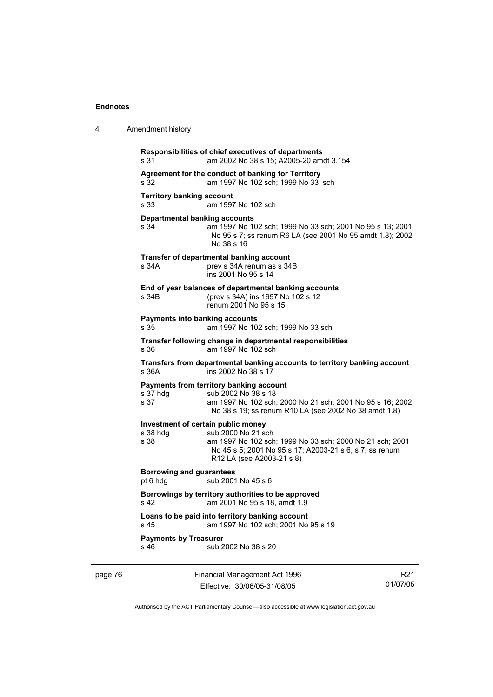| 4       | Amendment history                                                                                                                                                  |                                                                                                                                                                        |                 |
|---------|--------------------------------------------------------------------------------------------------------------------------------------------------------------------|------------------------------------------------------------------------------------------------------------------------------------------------------------------------|-----------------|
|         | Responsibilities of chief executives of departments<br>s 31                                                                                                        | am 2002 No 38 s 15; A2005-20 amdt 3.154                                                                                                                                |                 |
|         | Agreement for the conduct of banking for Territory<br>am 1997 No 102 sch; 1999 No 33 sch<br>s 32<br><b>Territory banking account</b><br>am 1997 No 102 sch<br>s 33 |                                                                                                                                                                        |                 |
|         |                                                                                                                                                                    |                                                                                                                                                                        |                 |
|         | <b>Departmental banking accounts</b><br>s 34<br>No 38 s 16                                                                                                         | am 1997 No 102 sch; 1999 No 33 sch; 2001 No 95 s 13; 2001<br>No 95 s 7; ss renum R6 LA (see 2001 No 95 amdt 1.8); 2002                                                 |                 |
|         | Transfer of departmental banking account<br>s 34A                                                                                                                  | prev s 34A renum as s 34B<br>ins 2001 No 95 s 14                                                                                                                       |                 |
|         | s 34B                                                                                                                                                              | End of year balances of departmental banking accounts<br>(prev s 34A) ins 1997 No 102 s 12<br>renum 2001 No 95 s 15                                                    |                 |
|         | <b>Payments into banking accounts</b><br>s 35                                                                                                                      | am 1997 No 102 sch; 1999 No 33 sch                                                                                                                                     |                 |
|         | s 36                                                                                                                                                               | Transfer following change in departmental responsibilities<br>am 1997 No 102 sch                                                                                       |                 |
|         | s 36A                                                                                                                                                              | Transfers from departmental banking accounts to territory banking account<br>ins 2002 No 38 s 17                                                                       |                 |
|         | Payments from territory banking account<br>s 37 hdg<br>s 37                                                                                                        | sub 2002 No 38 s 18<br>am 1997 No 102 sch; 2000 No 21 sch; 2001 No 95 s 16; 2002<br>No 38 s 19; ss renum R10 LA (see 2002 No 38 amdt 1.8)                              |                 |
|         | Investment of certain public money<br>s 38 hdg<br>s 38                                                                                                             | sub 2000 No 21 sch<br>am 1997 No 102 sch; 1999 No 33 sch; 2000 No 21 sch; 2001<br>No 45 s 5; 2001 No 95 s 17; A2003-21 s 6, s 7; ss renum<br>R12 LA (see A2003-21 s 8) |                 |
|         | Borrowing and guarantees<br>pt 6 hdg                                                                                                                               | sub 2001 No 45 s 6                                                                                                                                                     |                 |
|         | Borrowings by territory authorities to be approved<br>s 42                                                                                                         | am 2001 No 95 s 18, amdt 1.9                                                                                                                                           |                 |
|         | Loans to be paid into territory banking account<br>s 45                                                                                                            | am 1997 No 102 sch; 2001 No 95 s 19                                                                                                                                    |                 |
|         | <b>Payments by Treasurer</b><br>s 46                                                                                                                               | sub 2002 No 38 s 20                                                                                                                                                    |                 |
| page 76 |                                                                                                                                                                    | Financial Management Act 1996                                                                                                                                          | R <sub>21</sub> |

Authorised by the ACT Parliamentary Counsel—also accessible at www.legislation.act.gov.au

01/07/05

Effective: 30/06/05-31/08/05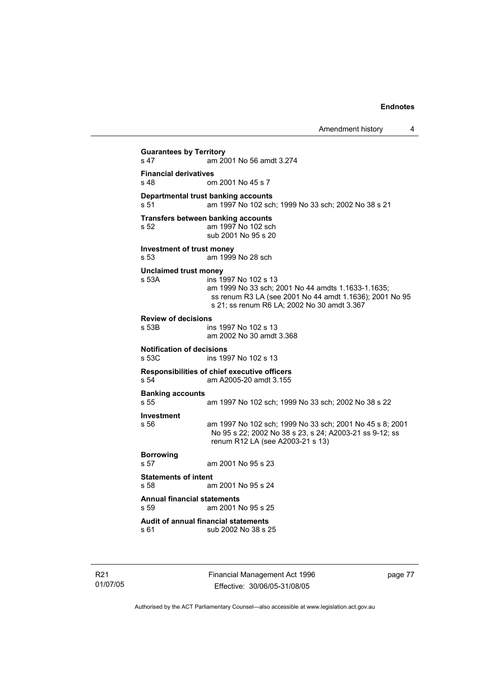Amendment history 4

**Guarantees by Territory**  am 2001 No 56 amdt 3.274 **Financial derivatives**<br>s 48 on om 2001 No 45 s 7 **Departmental trust banking accounts** s 51 am 1997 No 102 sch; 1999 No 33 sch; 2002 No 38 s 21 **Transfers between banking accounts** s 52 am 1997 No 102 sch sub 2001 No 95 s 20 **Investment of trust money**  s 53 am 1999 No 28 sch **Unclaimed trust money**  s 53A ins 1997 No 102 s 13 am 1999 No 33 sch; 2001 No 44 amdts 1.1633-1.1635; ss renum R3 LA (see 2001 No 44 amdt 1.1636); 2001 No 95 s 21; ss renum R6 LA; 2002 No 30 amdt 3.367 **Review of decisions**  s 53B ins 1997 No 102 s 13 am 2002 No 30 amdt 3.368 **Notification of decisions**  ins 1997 No 102 s 13 **Responsibilities of chief executive officers**  s 54 am A2005-20 amdt 3.155 **Banking accounts**  am 1997 No 102 sch; 1999 No 33 sch; 2002 No 38 s 22 **Investment**  s 56 am 1997 No 102 sch; 1999 No 33 sch; 2001 No 45 s 8; 2001 No 95 s 22; 2002 No 38 s 23, s 24; A2003-21 ss 9-12; ss renum R12 LA (see A2003-21 s 13) **Borrowing**  s 57 am 2001 No 95 s 23 **Statements of intent** s 58 am am 2001 No 95 s 24 **Annual financial statements**  s 59 am 2001 No 95 s 25 **Audit of annual financial statements**  sub 2002 No 38 s 25

R21 01/07/05 Financial Management Act 1996 Effective: 30/06/05-31/08/05

page 77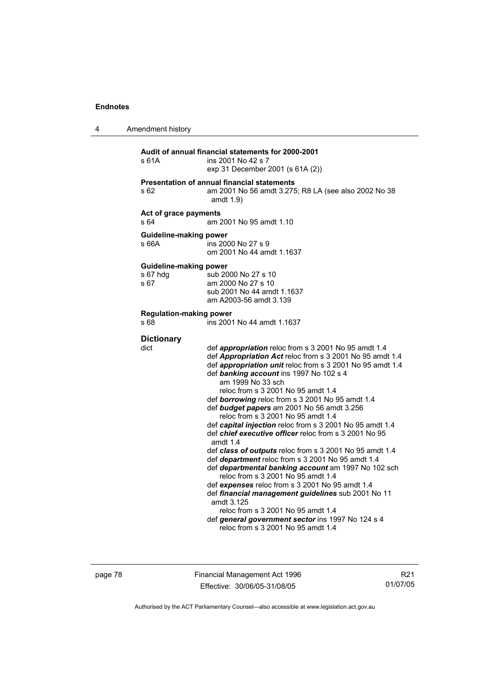| 4 | Amendment history                          |                                                                                                                                                                                                                                                                                                                                                                                                                                                                                                                                                                                                                                                                                                                                                                                                                                                                                                                                                                                                                                                   |  |
|---|--------------------------------------------|---------------------------------------------------------------------------------------------------------------------------------------------------------------------------------------------------------------------------------------------------------------------------------------------------------------------------------------------------------------------------------------------------------------------------------------------------------------------------------------------------------------------------------------------------------------------------------------------------------------------------------------------------------------------------------------------------------------------------------------------------------------------------------------------------------------------------------------------------------------------------------------------------------------------------------------------------------------------------------------------------------------------------------------------------|--|
|   | s 61A                                      | Audit of annual financial statements for 2000-2001<br>ins 2001 No 42 s 7<br>exp 31 December 2001 (s 61A (2))                                                                                                                                                                                                                                                                                                                                                                                                                                                                                                                                                                                                                                                                                                                                                                                                                                                                                                                                      |  |
|   | s 62                                       | <b>Presentation of annual financial statements</b><br>am 2001 No 56 amdt 3.275; R8 LA (see also 2002 No 38<br>amdt $1.9$                                                                                                                                                                                                                                                                                                                                                                                                                                                                                                                                                                                                                                                                                                                                                                                                                                                                                                                          |  |
|   | Act of grace payments<br>s 64              | am 2001 No 95 amdt 1.10                                                                                                                                                                                                                                                                                                                                                                                                                                                                                                                                                                                                                                                                                                                                                                                                                                                                                                                                                                                                                           |  |
|   | Guideline-making power<br>s 66A            | ins 2000 No 27 s 9<br>om 2001 No 44 amdt 1.1637                                                                                                                                                                                                                                                                                                                                                                                                                                                                                                                                                                                                                                                                                                                                                                                                                                                                                                                                                                                                   |  |
|   | Guideline-making power<br>s 67 hdg<br>s 67 | sub 2000 No 27 s 10<br>am 2000 No 27 s 10<br>sub 2001 No 44 amdt 1.1637<br>am A2003-56 amdt 3.139                                                                                                                                                                                                                                                                                                                                                                                                                                                                                                                                                                                                                                                                                                                                                                                                                                                                                                                                                 |  |
|   | <b>Regulation-making power</b><br>s 68     | ins 2001 No 44 amdt 1.1637                                                                                                                                                                                                                                                                                                                                                                                                                                                                                                                                                                                                                                                                                                                                                                                                                                                                                                                                                                                                                        |  |
|   | <b>Dictionary</b><br>dict                  | def <i>appropriation</i> reloc from s 3 2001 No 95 amdt 1.4<br>def Appropriation Act reloc from s 3 2001 No 95 amdt 1.4<br>def appropriation unit reloc from s 3 2001 No 95 amdt 1.4<br>def banking account ins 1997 No 102 s 4<br>am 1999 No 33 sch<br>reloc from s 3 2001 No 95 amdt 1.4<br>def borrowing reloc from s 3 2001 No 95 amdt 1.4<br>def budget papers am 2001 No 56 amdt 3.256<br>reloc from s 3 2001 No 95 amdt 1.4<br>def capital injection reloc from s 3 2001 No 95 amdt 1.4<br>def <i>chief executive officer</i> reloc from s 3 2001 No 95<br>amdt $1.4$<br>def class of outputs reloc from s 3 2001 No 95 amdt 1.4<br>def department reloc from s 3 2001 No 95 amdt 1.4<br>def departmental banking account am 1997 No 102 sch<br>reloc from s 3 2001 No 95 amdt 1.4<br>def expenses reloc from s 3 2001 No 95 amdt 1.4<br>def financial management guidelines sub 2001 No 11<br>amdt 3.125<br>reloc from s 3 2001 No 95 amdt 1.4<br>def general government sector ins 1997 No 124 s 4<br>reloc from s 3 2001 No 95 amdt 1.4 |  |

page 78 Financial Management Act 1996 Effective: 30/06/05-31/08/05

R21 01/07/05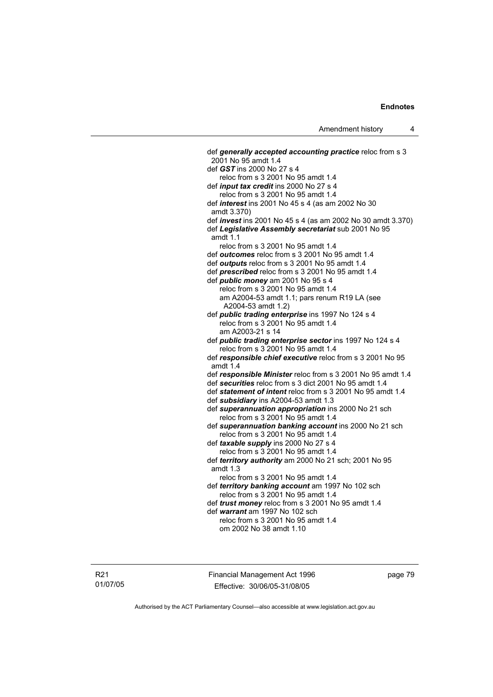def *generally accepted accounting practice* reloc from s 3 2001 No 95 amdt 1.4 def *GST* ins 2000 No 27 s 4 reloc from s 3 2001 No 95 amdt 1.4 def *input tax credit* ins 2000 No 27 s 4 reloc from s 3 2001 No 95 amdt 1.4 def *interest* ins 2001 No 45 s 4 (as am 2002 No 30 amdt 3.370) def *invest* ins 2001 No 45 s 4 (as am 2002 No 30 amdt 3.370) def *Legislative Assembly secretariat* sub 2001 No 95 amdt 1.1 reloc from s 3 2001 No 95 amdt 1.4 def *outcomes* reloc from s 3 2001 No 95 amdt 1.4 def *outputs* reloc from s 3 2001 No 95 amdt 1.4 def *prescribed* reloc from s 3 2001 No 95 amdt 1.4 def *public money* am 2001 No 95 s 4 reloc from s 3 2001 No 95 amdt 1.4 am A2004-53 amdt 1.1; pars renum R19 LA (see A2004-53 amdt 1.2) def *public trading enterprise* ins 1997 No 124 s 4 reloc from s 3 2001 No 95 amdt 1.4 am A2003-21 s 14 def *public trading enterprise sector* ins 1997 No 124 s 4 reloc from s 3 2001 No 95 amdt 1.4 def *responsible chief executive* reloc from s 3 2001 No 95 amdt 1.4 def *responsible Minister* reloc from s 3 2001 No 95 amdt 1.4 def *securities* reloc from s 3 dict 2001 No 95 amdt 1.4 def *statement of intent* reloc from s 3 2001 No 95 amdt 1.4 def *subsidiary* ins A2004-53 amdt 1.3 def *superannuation appropriation* ins 2000 No 21 sch reloc from s 3 2001 No 95 amdt 1.4 def *superannuation banking account* ins 2000 No 21 sch reloc from s 3 2001 No 95 amdt 1.4 def *taxable supply* ins 2000 No 27 s 4 reloc from s 3 2001 No 95 amdt 1.4 def *territory authority* am 2000 No 21 sch; 2001 No 95 amdt 1.3 reloc from s 3 2001 No 95 amdt 1.4 def *territory banking account* am 1997 No 102 sch reloc from s 3 2001 No 95 amdt 1.4 def *trust money* reloc from s 3 2001 No 95 amdt 1.4 def *warrant* am 1997 No 102 sch reloc from s 3 2001 No 95 amdt 1.4 om 2002 No 38 amdt 1.10

R21 01/07/05 Financial Management Act 1996 Effective: 30/06/05-31/08/05

page 79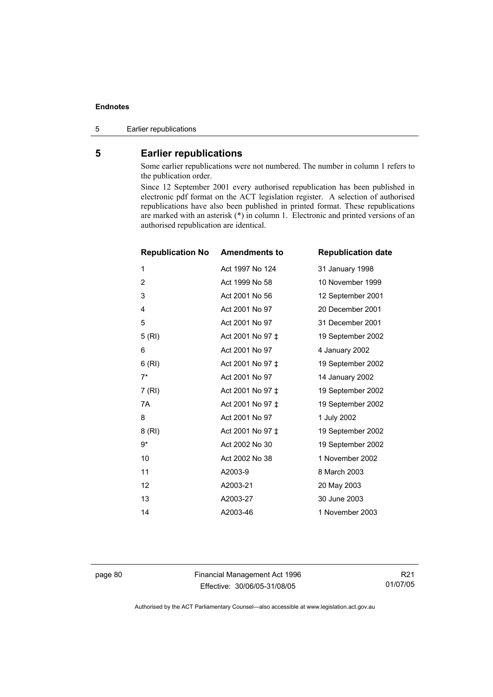5 Earlier republications

# **5 Earlier republications**

Some earlier republications were not numbered. The number in column 1 refers to the publication order.

Since 12 September 2001 every authorised republication has been published in electronic pdf format on the ACT legislation register. A selection of authorised republications have also been published in printed format. These republications are marked with an asterisk (\*) in column 1. Electronic and printed versions of an authorised republication are identical.

| <b>Republication No</b> | <b>Amendments to</b> | <b>Republication date</b> |
|-------------------------|----------------------|---------------------------|
| 1                       | Act 1997 No 124      | 31 January 1998           |
| 2                       | Act 1999 No 58       | 10 November 1999          |
| 3                       | Act 2001 No 56       | 12 September 2001         |
| 4                       | Act 2001 No 97       | 20 December 2001          |
| 5                       | Act 2001 No 97       | 31 December 2001          |
| 5(RI)                   | Act 2001 No 97 ±     | 19 September 2002         |
| 6                       | Act 2001 No 97       | 4 January 2002            |
| 6(RI)                   | Act 2001 No 97 ±     | 19 September 2002         |
| $7^*$                   | Act 2001 No 97       | 14 January 2002           |
| 7(RI)                   | Act 2001 No 97 ±     | 19 September 2002         |
| 7A                      | Act 2001 No 97 ‡     | 19 September 2002         |
| 8                       | Act 2001 No 97       | 1 July 2002               |
| 8 (RI)                  | Act 2001 No 97 ‡     | 19 September 2002         |
| 9*                      | Act 2002 No 30       | 19 September 2002         |
| 10                      | Act 2002 No 38       | 1 November 2002           |
| 11                      | A2003-9              | 8 March 2003              |
| 12                      | A2003-21             | 20 May 2003               |
| 13                      | A2003-27             | 30 June 2003              |
| 14                      | A2003-46             | 1 November 2003           |

page 80 Financial Management Act 1996 Effective: 30/06/05-31/08/05

R21 01/07/05